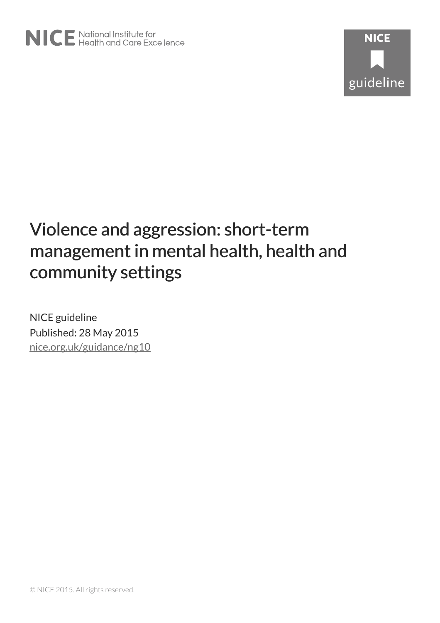

NICE guideline Published: 28 May 2015 [nice.org.uk/guidance/ng10](http://nice.org.uk/guidance/ng10)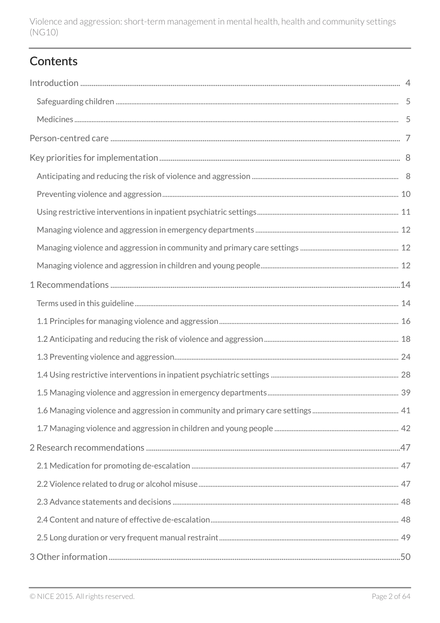## Contents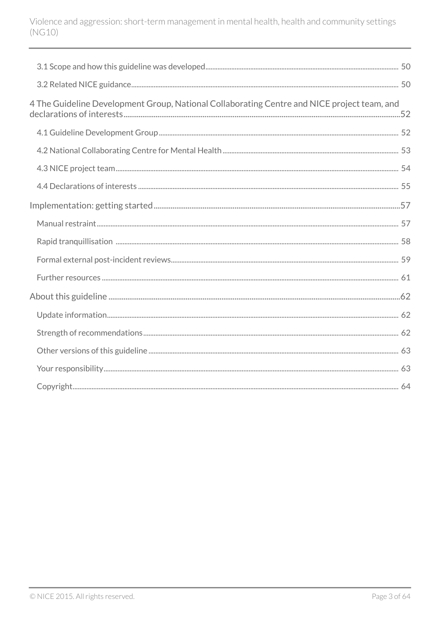| 4 The Guideline Development Group, National Collaborating Centre and NICE project team, and |  |
|---------------------------------------------------------------------------------------------|--|
|                                                                                             |  |
|                                                                                             |  |
|                                                                                             |  |
|                                                                                             |  |
|                                                                                             |  |
|                                                                                             |  |
|                                                                                             |  |
|                                                                                             |  |
|                                                                                             |  |
|                                                                                             |  |
|                                                                                             |  |
|                                                                                             |  |
|                                                                                             |  |
|                                                                                             |  |
|                                                                                             |  |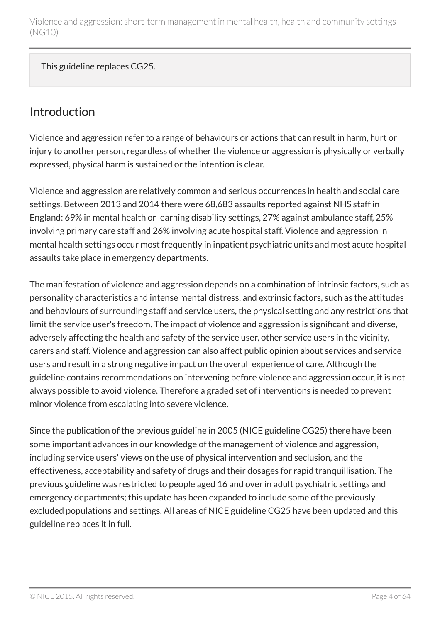This guideline replaces CG25.

### <span id="page-3-0"></span>Introduction

Violence and aggression refer to a range of behaviours or actions that can result in harm, hurt or injury to another person, regardless of whether the violence or aggression is physically or verbally expressed, physical harm is sustained or the intention is clear.

Violence and aggression are relatively common and serious occurrences in health and social care settings. Between 2013 and 2014 there were 68,683 assaults reported against NHS staff in England: 69% in mental health or learning disability settings, 27% against ambulance staff, 25% involving primary care staff and 26% involving acute hospital staff. Violence and aggression in mental health settings occur most frequently in inpatient psychiatric units and most acute hospital assaults take place in emergency departments.

The manifestation of violence and aggression depends on a combination of intrinsic factors, such as personality characteristics and intense mental distress, and extrinsic factors, such as the attitudes and behaviours of surrounding staff and service users, the physical setting and any restrictions that limit the service user's freedom. The impact of violence and aggression is significant and diverse, adversely affecting the health and safety of the service user, other service users in the vicinity, carers and staff. Violence and aggression can also affect public opinion about services and service users and result in a strong negative impact on the overall experience of care. Although the guideline contains recommendations on intervening before violence and aggression occur, it is not always possible to avoid violence. Therefore a graded set of interventions is needed to prevent minor violence from escalating into severe violence.

Since the publication of the previous guideline in 2005 (NICE guideline CG25) there have been some important advances in our knowledge of the management of violence and aggression, including service users' views on the use of physical intervention and seclusion, and the effectiveness, acceptability and safety of drugs and their dosages for rapid tranquillisation. The previous guideline was restricted to people aged 16 and over in adult psychiatric settings and emergency departments; this update has been expanded to include some of the previously excluded populations and settings. All areas of NICE guideline CG25 have been updated and this guideline replaces it in full.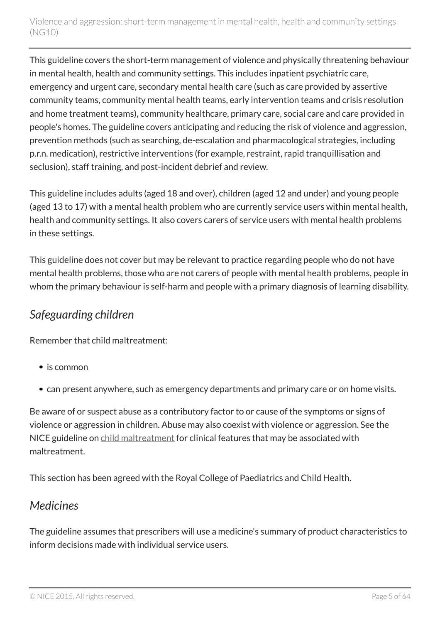This guideline covers the short-term management of violence and physically threatening behaviour in mental health, health and community settings. This includes inpatient psychiatric care, emergency and urgent care, secondary mental health care (such as care provided by assertive community teams, community mental health teams, early intervention teams and crisis resolution and home treatment teams), community healthcare, primary care, social care and care provided in people's homes. The guideline covers anticipating and reducing the risk of violence and aggression, prevention methods (such as searching, de-escalation and pharmacological strategies, including p.r.n. medication), restrictive interventions (for example, restraint, rapid tranquillisation and seclusion), staff training, and post-incident debrief and review.

This guideline includes adults (aged 18 and over), children (aged 12 and under) and young people (aged 13 to 17) with a mental health problem who are currently service users within mental health, health and community settings. It also covers carers of service users with mental health problems in these settings.

This guideline does not cover but may be relevant to practice regarding people who do not have mental health problems, those who are not carers of people with mental health problems, people in whom the primary behaviour is self-harm and people with a primary diagnosis of learning disability.

## <span id="page-4-0"></span>*Safeguarding children*

Remember that child maltreatment:

- is common
- can present anywhere, such as emergency departments and primary care or on home visits.

Be aware of or suspect abuse as a contributory factor to or cause of the symptoms or signs of violence or aggression in children. Abuse may also coexist with violence or aggression. See the NICE guideline on [child maltreatment](http://www.nice.org.uk/guidance/cg89) for clinical features that may be associated with maltreatment.

This section has been agreed with the Royal College of Paediatrics and Child Health.

## <span id="page-4-1"></span>*Medicines*

The guideline assumes that prescribers will use a medicine's summary of product characteristics to inform decisions made with individual service users.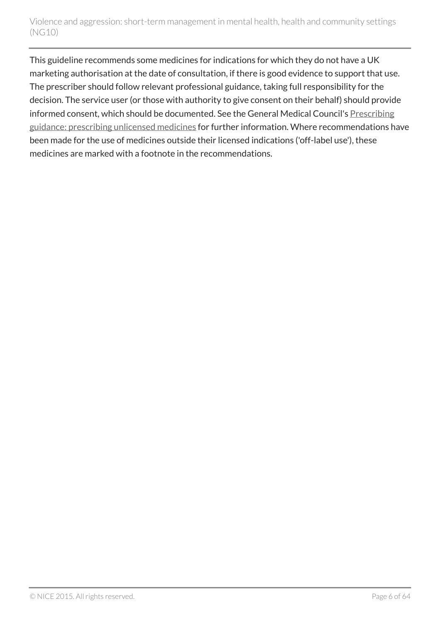This guideline recommends some medicines for indications for which they do not have a UK marketing authorisation at the date of consultation, if there is good evidence to support that use. The prescriber should follow relevant professional guidance, taking full responsibility for the decision. The service user (or those with authority to give consent on their behalf) should provide informed consent, which should be documented. See the General Medical Council's [Prescribing](http://www.gmc-uk.org/guidance/ethical_guidance/14327.asp) [guidance: prescribing unlicensed medicines](http://www.gmc-uk.org/guidance/ethical_guidance/14327.asp) for further information. Where recommendations have been made for the use of medicines outside their licensed indications ('off-label use'), these medicines are marked with a footnote in the recommendations.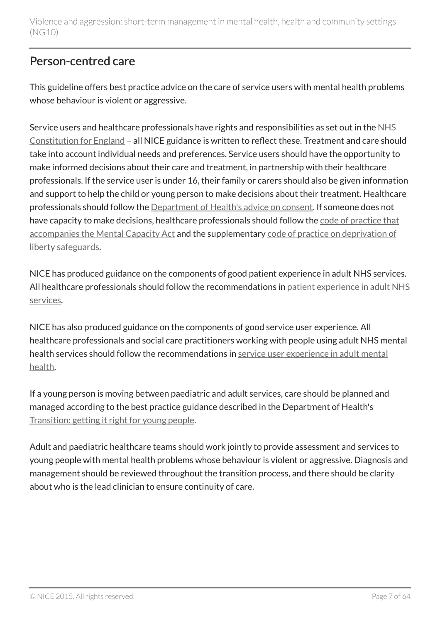## <span id="page-6-0"></span>Person-centred care

This guideline offers best practice advice on the care of service users with mental health problems whose behaviour is violent or aggressive.

Service users and healthcare professionals have rights and responsibilities as set out in the [NHS](https://www.gov.uk/government/publications/the-nhs-constitution-for-england) [Constitution for England](https://www.gov.uk/government/publications/the-nhs-constitution-for-england) – all NICE guidance is written to reflect these. Treatment and care should take into account individual needs and preferences. Service users should have the opportunity to make informed decisions about their care and treatment, in partnership with their healthcare professionals. If the service user is under 16, their family or carers should also be given information and support to help the child or young person to make decisions about their treatment. Healthcare professionals should follow the [Department of Health's advice on consent](https://www.gov.uk/government/publications/reference-guide-to-consent-for-examination-or-treatment-second-edition). If someone does not have capacity to make decisions, healthcare professionals should follow the [code of practice that](http://www.justice.gov.uk/protecting-the-vulnerable/mental-capacity-act) [accompanies the Mental Capacity Act](http://www.justice.gov.uk/protecting-the-vulnerable/mental-capacity-act) and the supplementary [code of practice on deprivation of](http://webarchive.nationalarchives.gov.uk/20130107105354/http:/www.dh.gov.uk/en/Publicationsandstatistics/Publications/PublicationsPolicyAndGuidance/DH_085476) [liberty safeguards](http://webarchive.nationalarchives.gov.uk/20130107105354/http:/www.dh.gov.uk/en/Publicationsandstatistics/Publications/PublicationsPolicyAndGuidance/DH_085476).

NICE has produced guidance on the components of good patient experience in adult NHS services. All healthcare professionals should follow the recommendations in [patient experience in adult NHS](http://www.nice.org.uk/guidance/cg138) [services.](http://www.nice.org.uk/guidance/cg138)

NICE has also produced guidance on the components of good service user experience. All healthcare professionals and social care practitioners working with people using adult NHS mental health services should follow the recommendations in [service user experience in adult mental](http://www.nice.org.uk/guidance/cg136) [health](http://www.nice.org.uk/guidance/cg136).

If a young person is moving between paediatric and adult services, care should be planned and managed according to the best practice guidance described in the Department of Health's [Transition: getting it right for young people.](http://webarchive.nationalarchives.gov.uk/20130107105354/http:/www.dh.gov.uk/en/Publicationsandstatistics/Publications/PublicationsPolicyAndGuidance/DH_4132145)

Adult and paediatric healthcare teams should work jointly to provide assessment and services to young people with mental health problems whose behaviour is violent or aggressive. Diagnosis and management should be reviewed throughout the transition process, and there should be clarity about who is the lead clinician to ensure continuity of care.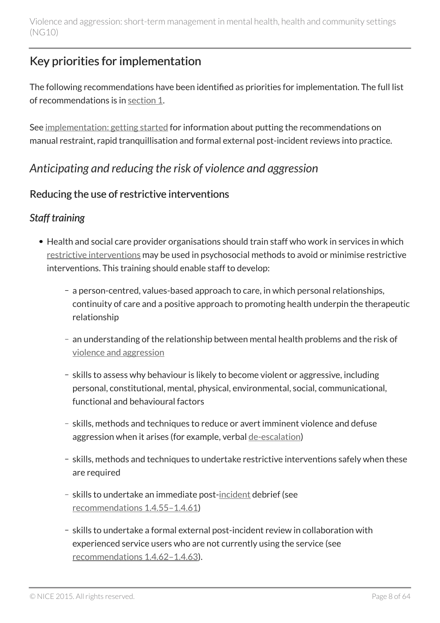## <span id="page-7-0"></span>Key priorities for implementation

The following recommendations have been identified as priorities for implementation. The full list of recommendations is in [section](#page-15-0) 1.

See [implementation: getting started](#page-56-0) for information about putting the recommendations on manual restraint, rapid tranquillisation and formal external post-incident reviews into practice.

## <span id="page-7-1"></span>*Anticipating and reducing the risk of violence and aggression*

### Reducing the use of restrictive interventions

### *Staff training*

- Health and social care provider organisations should train staff who work in services in which [restrictive interventions](#page-13-1) may be used in psychosocial methods to avoid or minimise restrictive interventions. This training should enable staff to develop:
	- a person-centred, values-based approach to care, in which personal relationships, continuity of care and a positive approach to promoting health underpin the therapeutic relationship
	- an understanding of the relationship between mental health problems and the risk of [violence and aggression](#page-13-1)
	- skills to assess why behaviour is likely to become violent or aggressive, including personal, constitutional, mental, physical, environmental, social, communicational, functional and behavioural factors
	- skills, methods and techniques to reduce or avert imminent violence and defuse aggression when it arises (for example, verbal [de-escalation\)](#page-13-1)
	- skills, methods and techniques to undertake restrictive interventions safely when these are required
	- skills to undertake an immediate post[-incident](#page-13-1) debrief (see [recommendations](#page-36-0) 1.4.55–1.4.61)
	- skills to undertake a formal external post-incident review in collaboration with experienced service users who are not currently using the service (see [recommendations](#page-36-0) 1.4.62–1.4.63).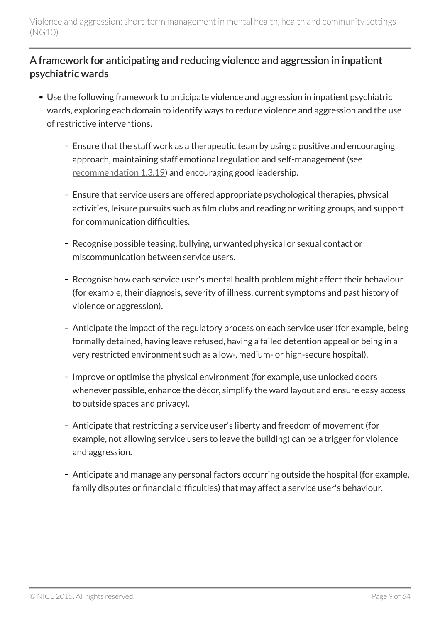### A framework for anticipating and reducing violence and aggression in inpatient psychiatric wards

- Use the following framework to anticipate violence and aggression in inpatient psychiatric wards, exploring each domain to identify ways to reduce violence and aggression and the use of restrictive interventions.
	- Ensure that the staff work as a therapeutic team by using a positive and encouraging approach, maintaining staff emotional regulation and self-management (see [recommendation 1.3.19](#page-26-0)) and encouraging good leadership.
	- Ensure that service users are offered appropriate psychological therapies, physical activities, leisure pursuits such as film clubs and reading or writing groups, and support for communication difficulties.
	- Recognise possible teasing, bullying, unwanted physical or sexual contact or miscommunication between service users.
	- Recognise how each service user's mental health problem might affect their behaviour (for example, their diagnosis, severity of illness, current symptoms and past history of violence or aggression).
	- Anticipate the impact of the regulatory process on each service user (for example, being formally detained, having leave refused, having a failed detention appeal or being in a very restricted environment such as a low-, medium- or high-secure hospital).
	- Improve or optimise the physical environment (for example, use unlocked doors whenever possible, enhance the décor, simplify the ward layout and ensure easy access to outside spaces and privacy).
	- Anticipate that restricting a service user's liberty and freedom of movement (for example, not allowing service users to leave the building) can be a trigger for violence and aggression.
	- Anticipate and manage any personal factors occurring outside the hospital (for example, family disputes or financial difficulties) that may affect a service user's behaviour.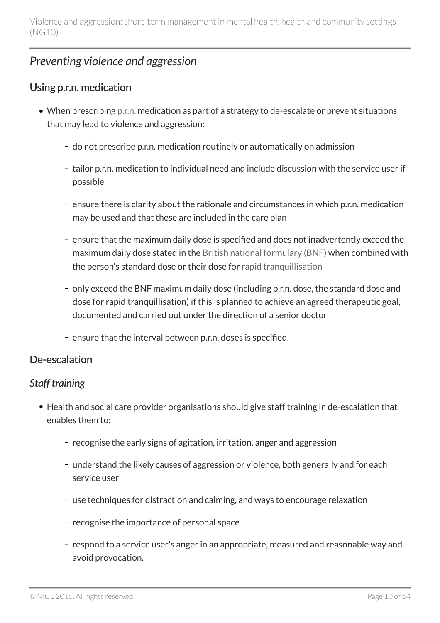## <span id="page-9-0"></span>*Preventing violence and aggression*

### Using p.r.n. medication

- When prescribing <u>[p.r.n.](#page-13-1)</u> medication as part of a strategy to de-escalate or prevent situations that may lead to violence and aggression:
	- do not prescribe p.r.n. medication routinely or automatically on admission
	- tailor p.r.n. medication to individual need and include discussion with the service user if possible
	- ensure there is clarity about the rationale and circumstances in which p.r.n. medication may be used and that these are included in the care plan
	- ensure that the maximum daily dose is specified and does not inadvertently exceed the maximum daily dose stated in the [British national formulary \(BNF\)](https://www.medicinescomplete.com/mc/bnf/current/) when combined with the person's standard dose or their dose for [rapid tranquillisation](#page-13-1)
	- only exceed the BNF maximum daily dose (including p.r.n. dose, the standard dose and dose for rapid tranquillisation) if this is planned to achieve an agreed therapeutic goal, documented and carried out under the direction of a senior doctor
	- ensure that the interval between p.r.n. doses is specified.

### De-escalation

### *Staff training*

- Health and social care provider organisations should give staff training in de-escalation that enables them to:
	- recognise the early signs of agitation, irritation, anger and aggression
	- understand the likely causes of aggression or violence, both generally and for each service user
	- use techniques for distraction and calming, and ways to encourage relaxation
	- recognise the importance of personal space
	- respond to a service user's anger in an appropriate, measured and reasonable way and avoid provocation.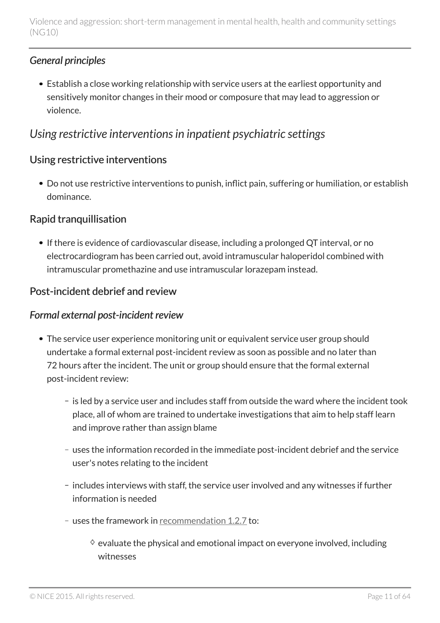### *General principles*

Establish a close working relationship with service users at the earliest opportunity and sensitively monitor changes in their mood or composure that may lead to aggression or violence.

## <span id="page-10-0"></span>*Using restrictive interventions in inpatient psychiatric settings*

### Using restrictive interventions

Do not use restrictive interventions to punish, inflict pain, suffering or humiliation, or establish dominance.

### Rapid tranquillisation

• If there is evidence of cardiovascular disease, including a prolonged QT interval, or no electrocardiogram has been carried out, avoid intramuscular haloperidol combined with intramuscular promethazine and use intramuscular lorazepam instead.

### Post-incident debrief and review

#### *Formal external post-incident review*

- The service user experience monitoring unit or equivalent service user group should undertake a formal external post-incident review as soon as possible and no later than 72 hours after the incident. The unit or group should ensure that the formal external post-incident review:
	- is led by a service user and includes staff from outside the ward where the incident took place, all of whom are trained to undertake investigations that aim to help staff learn and improve rather than assign blame
	- uses the information recorded in the immediate post-incident debrief and the service user's notes relating to the incident
	- includes interviews with staff, the service user involved and any witnesses if further information is needed
	- uses the framework in [recommendation](#page-19-0) 1.2.7 to:
		- $\Diamond$  evaluate the physical and emotional impact on everyone involved, including witnesses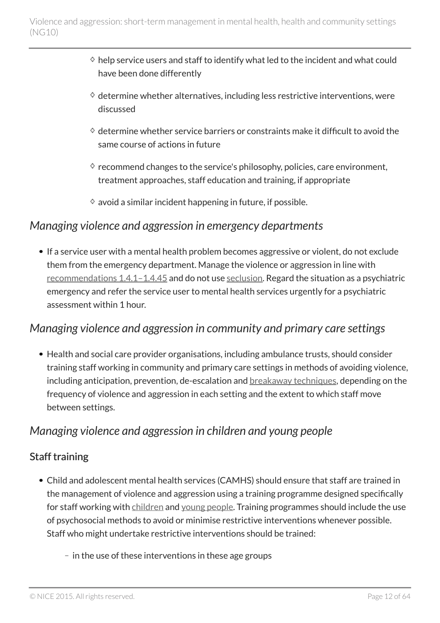- $\Diamond$  help service users and staff to identify what led to the incident and what could have been done differently
- $\Diamond$  determine whether alternatives, including less restrictive interventions, were discussed
- $\Diamond$  determine whether service barriers or constraints make it difficult to avoid the same course of actions in future
- $\Diamond$  recommend changes to the service's philosophy, policies, care environment, treatment approaches, staff education and training, if appropriate
- $\diamond$  avoid a similar incident happening in future, if possible.

### <span id="page-11-0"></span>*Managing violence and aggression in emergency departments*

• If a service user with a mental health problem becomes aggressive or violent, do not exclude them from the emergency department. Manage the violence or aggression in line with [recommendations](#page-27-1) 1.4.1–1.4.45 and do not use [seclusion](#page-13-1). Regard the situation as a psychiatric emergency and refer the service user to mental health services urgently for a psychiatric assessment within 1 hour.

### <span id="page-11-1"></span>*Managing violence and aggression in community and primary care settings*

Health and social care provider organisations, including ambulance trusts, should consider training staff working in community and primary care settings in methods of avoiding violence, including anticipation, prevention, de-escalation and **breakaway** techniques, depending on the frequency of violence and aggression in each setting and the extent to which staff move between settings.

### <span id="page-11-2"></span>*Managing violence and aggression in children and young people*

### Staff training

- Child and adolescent mental health services (CAMHS) should ensure that staff are trained in the management of violence and aggression using a training programme designed specifically for staff working with [children](#page-13-1) and [young people](#page-13-1). Training programmes should include the use of psychosocial methods to avoid or minimise restrictive interventions whenever possible. Staff who might undertake restrictive interventions should be trained:
	- $-$  in the use of these interventions in these age groups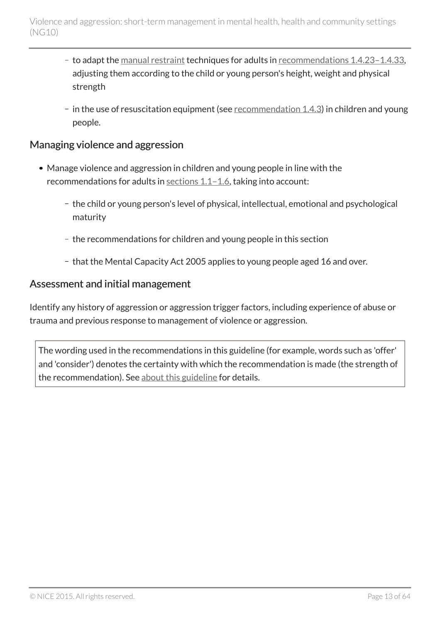- to adapt the [manual restraint](#page-13-1) techniques for adults in [recommendations](#page-31-0) 1.4.23-1.4.33, adjusting them according to the child or young person's height, weight and physical strength
- $-$  in the use of resuscitation equipment (see [recommendation](#page-27-2) 1.4.3) in children and young people.

#### Managing violence and aggression

- Manage violence and aggression in children and young people in line with the recommendations for adults in [sections](#page-15-0) 1.1-1.6, taking into account:
	- the child or young person's level of physical, intellectual, emotional and psychological maturity
	- the recommendations for children and young people in this section
	- that the Mental Capacity Act 2005 applies to young people aged 16 and over.

#### Assessment and initial management

Identify any history of aggression or aggression trigger factors, including experience of abuse or trauma and previous response to management of violence or aggression.

The wording used in the recommendations in this guideline (for example, words such as 'offer' and 'consider') denotes the certainty with which the recommendation is made (the strength of the recommendation). See [about this guideline](#page-61-0) for details.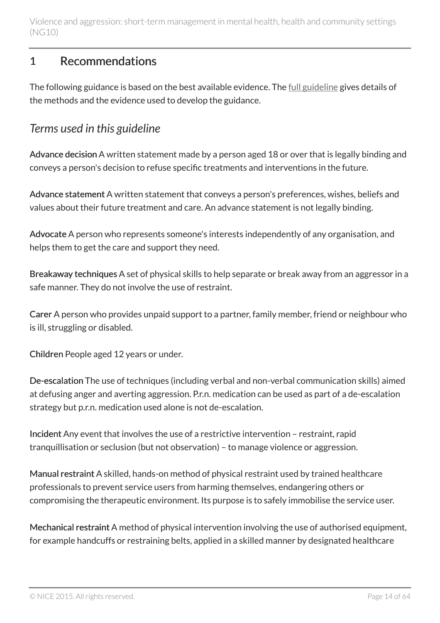### <span id="page-13-0"></span>1 Recommendations

The following guidance is based on the best available evidence. The [full guideline](http://www.nice.org.uk/guidance/ng10/evidence) gives details of the methods and the evidence used to develop the guidance.

### <span id="page-13-1"></span>*Terms used in this guideline*

Advance decision A written statement made by a person aged 18 or over that is legally binding and conveys a person's decision to refuse specific treatments and interventions in the future.

Advance statement A written statement that conveys a person's preferences, wishes, beliefs and values about their future treatment and care. An advance statement is not legally binding.

Advocate A person who represents someone's interests independently of any organisation, and helps them to get the care and support they need.

Breakaway techniques A set of physical skills to help separate or break away from an aggressor in a safe manner. They do not involve the use of restraint.

Carer A person who provides unpaid support to a partner, family member, friend or neighbour who is ill, struggling or disabled.

Children People aged 12 years or under.

De-escalation The use of techniques (including verbal and non-verbal communication skills) aimed at defusing anger and averting aggression. P.r.n. medication can be used as part of a de-escalation strategy but p.r.n. medication used alone is not de-escalation.

Incident Any event that involves the use of a restrictive intervention – restraint, rapid tranquillisation or seclusion (but not observation) – to manage violence or aggression.

Manual restraint A skilled, hands-on method of physical restraint used by trained healthcare professionals to prevent service users from harming themselves, endangering others or compromising the therapeutic environment. Its purpose is to safely immobilise the service user.

Mechanical restraint A method of physical intervention involving the use of authorised equipment, for example handcuffs or restraining belts, applied in a skilled manner by designated healthcare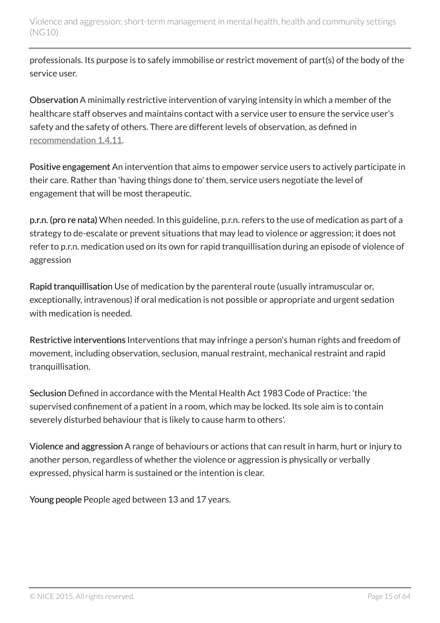professionals. Its purpose is to safely immobilise or restrict movement of part(s) of the body of the service user.

Observation A minimally restrictive intervention of varying intensity in which a member of the healthcare staff observes and maintains contact with a service user to ensure the service user's safety and the safety of others. There are different levels of observation, as defined in [recommendation](#page-29-0) 1.4.11.

Positive engagement An intervention that aims to empower service users to actively participate in their care. Rather than 'having things done to' them, service users negotiate the level of engagement that will be most therapeutic.

p.r.n. (pro re nata) When needed. In this guideline, p.r.n. refers to the use of medication as part of a strategy to de-escalate or prevent situations that may lead to violence or aggression; it does not refer to p.r.n. medication used on its own for rapid tranquillisation during an episode of violence of aggression

Rapid tranquillisation Use of medication by the parenteral route (usually intramuscular or, exceptionally, intravenous) if oral medication is not possible or appropriate and urgent sedation with medication is needed.

Restrictive interventions Interventions that may infringe a person's human rights and freedom of movement, including observation, seclusion, manual restraint, mechanical restraint and rapid tranquillisation.

Seclusion Defined in accordance with the Mental Health Act 1983 Code of Practice: 'the supervised confinement of a patient in a room, which may be locked. Its sole aim is to contain severely disturbed behaviour that is likely to cause harm to others'.

Violence and aggression A range of behaviours or actions that can result in harm, hurt or injury to another person, regardless of whether the violence or aggression is physically or verbally expressed, physical harm is sustained or the intention is clear.

Young people People aged between 13 and 17 years.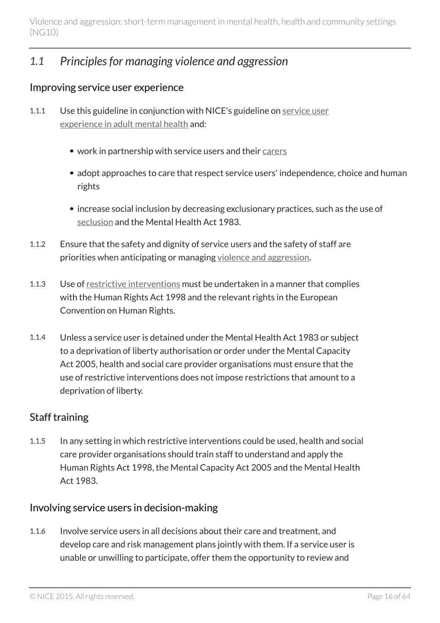## <span id="page-15-0"></span>*1.1 Principles for managing violence and aggression*

#### Improving service user experience

- 1.1.1 Use this guideline in conjunction with NICE's guideline on [service user](http://www.nice.org.uk/guidance/cg136) [experience in adult mental health](http://www.nice.org.uk/guidance/cg136) and:
	- work in partnership with service users and their [carers](#page-13-1)
	- adopt approaches to care that respect service users' independence, choice and human rights
	- increase social inclusion by decreasing exclusionary practices, such as the use of [seclusion](#page-13-1) and the Mental Health Act 1983.
- 1.1.2 Ensure that the safety and dignity of service users and the safety of staff are priorities when anticipating or managing [violence and aggression](#page-13-1).
- 1.1.3 Use of [restrictive interventions](#page-13-1) must be undertaken in a manner that complies with the Human Rights Act 1998 and the relevant rights in the European Convention on Human Rights.
- 1.1.4 Unless a service user is detained under the Mental Health Act 1983 or subject to a deprivation of liberty authorisation or order under the Mental Capacity Act 2005, health and social care provider organisations must ensure that the use of restrictive interventions does not impose restrictions that amount to a deprivation of liberty.

#### Staff training

1.1.5 In any setting in which restrictive interventions could be used, health and social care provider organisations should train staff to understand and apply the Human Rights Act 1998, the Mental Capacity Act 2005 and the Mental Health Act 1983.

#### Involving service users in decision-making

1.1.6 Involve service users in all decisions about their care and treatment, and develop care and risk management plans jointly with them. If a service user is unable or unwilling to participate, offer them the opportunity to review and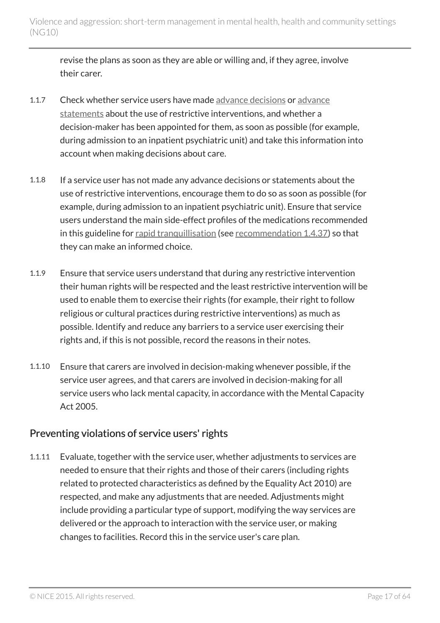revise the plans as soon as they are able or willing and, if they agree, involve their carer.

- 1.1.7 Check whether service users have made [advance decisions](#page-13-1) or [advance](#page-13-1) [statements](#page-13-1) about the use of restrictive interventions, and whether a decision-maker has been appointed for them, as soon as possible (for example, during admission to an inpatient psychiatric unit) and take this information into account when making decisions about care.
- 1.1.8 If a service user has not made any advance decisions or statements about the use of restrictive interventions, encourage them to do so as soon as possible (for example, during admission to an inpatient psychiatric unit). Ensure that service users understand the main side-effect profiles of the medications recommended in this guideline for [rapid tranquillisation](#page-13-1) (see [recommendation](#page-33-0) 1.4.37) so that they can make an informed choice.
- 1.1.9 Ensure that service users understand that during any restrictive intervention their human rights will be respected and the least restrictive intervention will be used to enable them to exercise their rights (for example, their right to follow religious or cultural practices during restrictive interventions) as much as possible. Identify and reduce any barriers to a service user exercising their rights and, if this is not possible, record the reasons in their notes.
- 1.1.10 Ensure that carers are involved in decision-making whenever possible, if the service user agrees, and that carers are involved in decision-making for all service users who lack mental capacity, in accordance with the Mental Capacity Act 2005.

### Preventing violations of service users' rights

1.1.11 Evaluate, together with the service user, whether adjustments to services are needed to ensure that their rights and those of their carers (including rights related to protected characteristics as defined by the Equality Act 2010) are respected, and make any adjustments that are needed. Adjustments might include providing a particular type of support, modifying the way services are delivered or the approach to interaction with the service user, or making changes to facilities. Record this in the service user's care plan.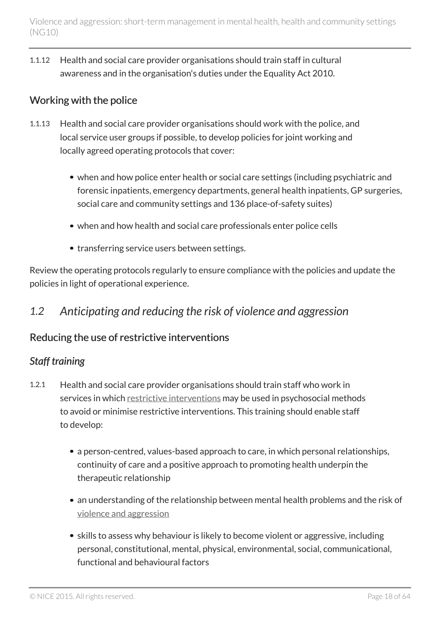1.1.12 Health and social care provider organisations should train staff in cultural awareness and in the organisation's duties under the Equality Act 2010.

### Working with the police

- 1.1.13 Health and social care provider organisations should work with the police, and local service user groups if possible, to develop policies for joint working and locally agreed operating protocols that cover:
	- when and how police enter health or social care settings (including psychiatric and forensic inpatients, emergency departments, general health inpatients, GP surgeries, social care and community settings and 136 place-of-safety suites)
	- when and how health and social care professionals enter police cells
	- transferring service users between settings.

Review the operating protocols regularly to ensure compliance with the policies and update the policies in light of operational experience.

### <span id="page-17-0"></span>*1.2 Anticipating and reducing the risk of violence and aggression*

### Reducing the use of restrictive interventions

### *Staff training*

- 1.2.1 Health and social care provider organisations should train staff who work in services in which [restrictive interventions](#page-13-1) may be used in psychosocial methods to avoid or minimise restrictive interventions. This training should enable staff to develop:
	- a person-centred, values-based approach to care, in which personal relationships, continuity of care and a positive approach to promoting health underpin the therapeutic relationship
	- an understanding of the relationship between mental health problems and the risk of [violence and aggression](#page-13-1)
	- skills to assess why behaviour is likely to become violent or aggressive, including personal, constitutional, mental, physical, environmental, social, communicational, functional and behavioural factors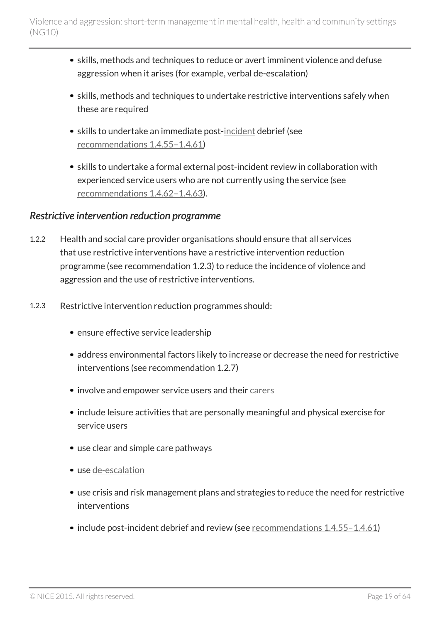- skills, methods and techniques to reduce or avert imminent violence and defuse aggression when it arises (for example, verbal de-escalation)
- skills, methods and techniques to undertake restrictive interventions safely when these are required
- skills to undertake an immediate post-[incident](#page-13-1) debrief (see [recommendations](#page-36-0) 1.4.55–1.4.61)
- skills to undertake a formal external post-incident review in collaboration with experienced service users who are not currently using the service (see [recommendations](#page-37-0) 1.4.62–1.4.63).

#### *Restrictive intervention reduction programme*

- 1.2.2 Health and social care provider organisations should ensure that all services that use restrictive interventions have a restrictive intervention reduction programme (see recommendation 1.2.3) to reduce the incidence of violence and aggression and the use of restrictive interventions.
- 1.2.3 Restrictive intervention reduction programmes should:
	- ensure effective service leadership
	- address environmental factors likely to increase or decrease the need for restrictive interventions (see recommendation 1.2.7)
	- involve and empower service users and their [carers](#page-13-1)
	- include leisure activities that are personally meaningful and physical exercise for service users
	- use clear and simple care pathways
	- use [de-escalation](#page-13-1)
	- use crisis and risk management plans and strategies to reduce the need for restrictive interventions
	- include post-incident debrief and review (see [recommendations](#page-36-0) 1.4.55-1.4.61)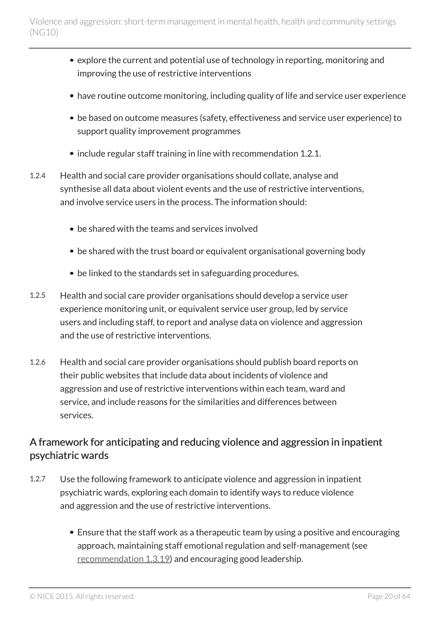- explore the current and potential use of technology in reporting, monitoring and improving the use of restrictive interventions
- have routine outcome monitoring, including quality of life and service user experience
- be based on outcome measures (safety, effectiveness and service user experience) to support quality improvement programmes
- include regular staff training in line with recommendation 1.2.1.
- 1.2.4 Health and social care provider organisations should collate, analyse and synthesise all data about violent events and the use of restrictive interventions, and involve service users in the process. The information should:
	- be shared with the teams and services involved
	- be shared with the trust board or equivalent organisational governing body
	- be linked to the standards set in safeguarding procedures.
- 1.2.5 Health and social care provider organisations should develop a service user experience monitoring unit, or equivalent service user group, led by service users and including staff, to report and analyse data on violence and aggression and the use of restrictive interventions.
- 1.2.6 Health and social care provider organisations should publish board reports on their public websites that include data about incidents of violence and aggression and use of restrictive interventions within each team, ward and service, and include reasons for the similarities and differences between services.

### A framework for anticipating and reducing violence and aggression in inpatient psychiatric wards

- <span id="page-19-0"></span>1.2.7 Use the following framework to anticipate violence and aggression in inpatient psychiatric wards, exploring each domain to identify ways to reduce violence and aggression and the use of restrictive interventions.
	- Ensure that the staff work as a therapeutic team by using a positive and encouraging approach, maintaining staff emotional regulation and self-management (see [recommendation](#page-26-0) 1.3.19) and encouraging good leadership.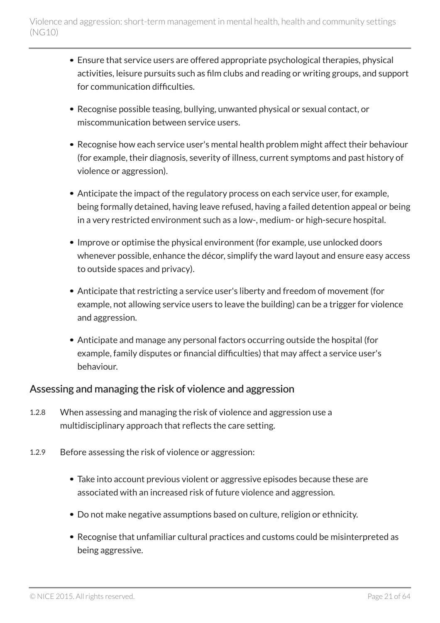- Ensure that service users are offered appropriate psychological therapies, physical activities, leisure pursuits such as film clubs and reading or writing groups, and support for communication difficulties.
- Recognise possible teasing, bullying, unwanted physical or sexual contact, or miscommunication between service users.
- Recognise how each service user's mental health problem might affect their behaviour (for example, their diagnosis, severity of illness, current symptoms and past history of violence or aggression).
- Anticipate the impact of the regulatory process on each service user, for example, being formally detained, having leave refused, having a failed detention appeal or being in a very restricted environment such as a low-, medium- or high-secure hospital.
- Improve or optimise the physical environment (for example, use unlocked doors whenever possible, enhance the décor, simplify the ward layout and ensure easy access to outside spaces and privacy).
- Anticipate that restricting a service user's liberty and freedom of movement (for example, not allowing service users to leave the building) can be a trigger for violence and aggression.
- Anticipate and manage any personal factors occurring outside the hospital (for example, family disputes or financial difficulties) that may affect a service user's behaviour.

#### Assessing and managing the risk of violence and aggression

- 1.2.8 When assessing and managing the risk of violence and aggression use a multidisciplinary approach that reflects the care setting.
- 1.2.9 Before assessing the risk of violence or aggression:
	- Take into account previous violent or aggressive episodes because these are associated with an increased risk of future violence and aggression.
	- Do not make negative assumptions based on culture, religion or ethnicity.
	- Recognise that unfamiliar cultural practices and customs could be misinterpreted as being aggressive.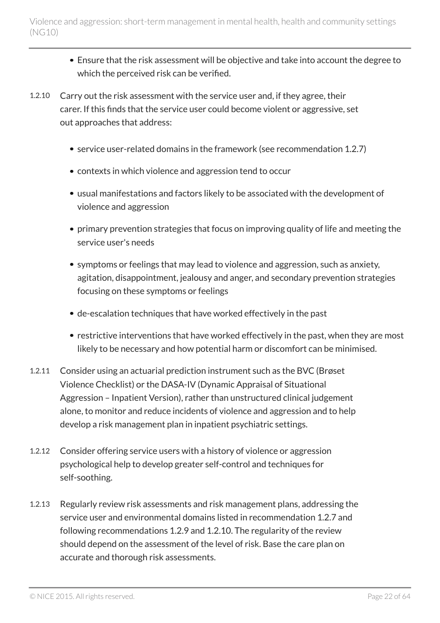- Ensure that the risk assessment will be objective and take into account the degree to which the perceived risk can be verified.
- 1.2.10 Carry out the risk assessment with the service user and, if they agree, their carer. If this finds that the service user could become violent or aggressive, set out approaches that address:
	- service user-related domains in the framework (see recommendation 1.2.7)
	- contexts in which violence and aggression tend to occur
	- usual manifestations and factors likely to be associated with the development of violence and aggression
	- primary prevention strategies that focus on improving quality of life and meeting the service user's needs
	- symptoms or feelings that may lead to violence and aggression, such as anxiety, agitation, disappointment, jealousy and anger, and secondary prevention strategies focusing on these symptoms or feelings
	- de-escalation techniques that have worked effectively in the past
	- restrictive interventions that have worked effectively in the past, when they are most likely to be necessary and how potential harm or discomfort can be minimised.
- 1.2.11 Consider using an actuarial prediction instrument such as the BVC (Brøset Violence Checklist) or the DASA-IV (Dynamic Appraisal of Situational Aggression – Inpatient Version), rather than unstructured clinical judgement alone, to monitor and reduce incidents of violence and aggression and to help develop a risk management plan in inpatient psychiatric settings.
- 1.2.12 Consider offering service users with a history of violence or aggression psychological help to develop greater self-control and techniques for self-soothing.
- 1.2.13 Regularly review risk assessments and risk management plans, addressing the service user and environmental domains listed in recommendation 1.2.7 and following recommendations 1.2.9 and 1.2.10. The regularity of the review should depend on the assessment of the level of risk. Base the care plan on accurate and thorough risk assessments.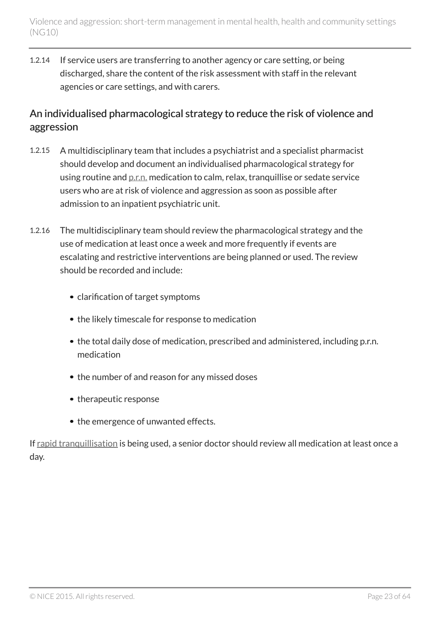1.2.14 If service users are transferring to another agency or care setting, or being discharged, share the content of the risk assessment with staff in the relevant agencies or care settings, and with carers.

### An individualised pharmacological strategy to reduce the risk of violence and aggression

- 1.2.15 A multidisciplinary team that includes a psychiatrist and a specialist pharmacist should develop and document an individualised pharmacological strategy for using routine and [p.r.n.](#page-13-1) medication to calm, relax, tranquillise or sedate service users who are at risk of violence and aggression as soon as possible after admission to an inpatient psychiatric unit.
- 1.2.16 The multidisciplinary team should review the pharmacological strategy and the use of medication at least once a week and more frequently if events are escalating and restrictive interventions are being planned or used. The review should be recorded and include:
	- clarification of target symptoms
	- the likely timescale for response to medication
	- the total daily dose of medication, prescribed and administered, including p.r.n. medication
	- the number of and reason for any missed doses
	- therapeutic response
	- the emergence of unwanted effects.

If [rapid tranquillisation](#page-13-1) is being used, a senior doctor should review all medication at least once a day.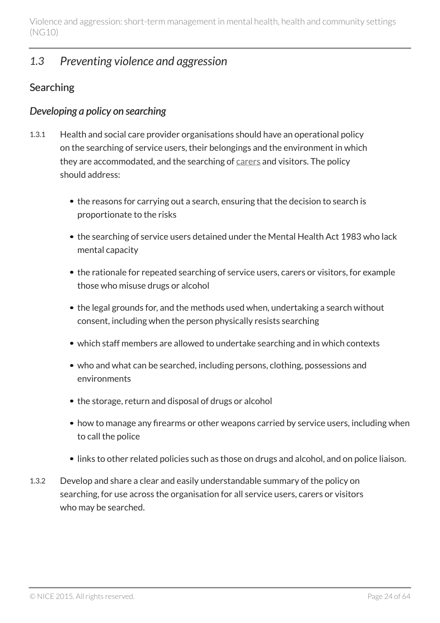### <span id="page-23-0"></span>*1.3 Preventing violence and aggression*

### **Searching**

#### *Developing a policy on searching*

- 1.3.1 Health and social care provider organisations should have an operational policy on the searching of service users, their belongings and the environment in which they are accommodated, and the searching of [carers](#page-13-1) and visitors. The policy should address:
	- the reasons for carrying out a search, ensuring that the decision to search is proportionate to the risks
	- the searching of service users detained under the Mental Health Act 1983 who lack mental capacity
	- the rationale for repeated searching of service users, carers or visitors, for example those who misuse drugs or alcohol
	- the legal grounds for, and the methods used when, undertaking a search without consent, including when the person physically resists searching
	- which staff members are allowed to undertake searching and in which contexts
	- who and what can be searched, including persons, clothing, possessions and environments
	- the storage, return and disposal of drugs or alcohol
	- how to manage any firearms or other weapons carried by service users, including when to call the police
	- links to other related policies such as those on drugs and alcohol, and on police liaison.
- 1.3.2 Develop and share a clear and easily understandable summary of the policy on searching, for use across the organisation for all service users, carers or visitors who may be searched.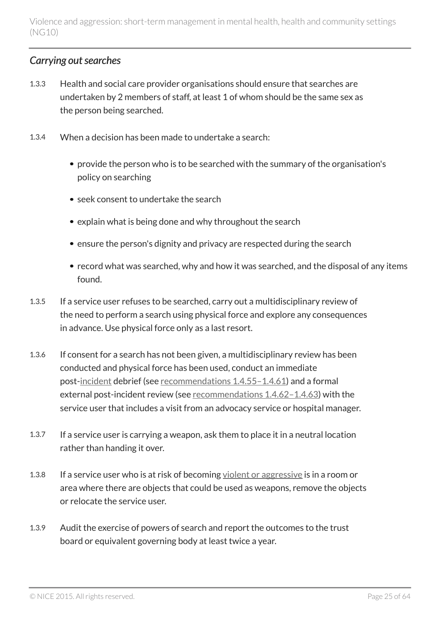### *Carrying out searches*

- 1.3.3 Health and social care provider organisations should ensure that searches are undertaken by 2 members of staff, at least 1 of whom should be the same sex as the person being searched.
- 1.3.4 When a decision has been made to undertake a search:
	- provide the person who is to be searched with the summary of the organisation's policy on searching
	- seek consent to undertake the search
	- explain what is being done and why throughout the search
	- ensure the person's dignity and privacy are respected during the search
	- record what was searched, why and how it was searched, and the disposal of any items found.
- 1.3.5 If a service user refuses to be searched, carry out a multidisciplinary review of the need to perform a search using physical force and explore any consequences in advance. Use physical force only as a last resort.
- 1.3.6 If consent for a search has not been given, a multidisciplinary review has been conducted and physical force has been used, conduct an immediate post[-incident](#page-13-1) debrief (see [recommendations](#page-36-0) 1.4.55-1.4.61) and a formal external post-incident review (see [recommendations](#page-37-0) 1.4.62–1.4.63) with the service user that includes a visit from an advocacy service or hospital manager.
- 1.3.7 If a service user is carrying a weapon, ask them to place it in a neutral location rather than handing it over.
- 1.3.8 If a service user who is at risk of becoming [violent or aggressive](#page-13-1) is in a room or area where there are objects that could be used as weapons, remove the objects or relocate the service user.
- 1.3.9 Audit the exercise of powers of search and report the outcomes to the trust board or equivalent governing body at least twice a year.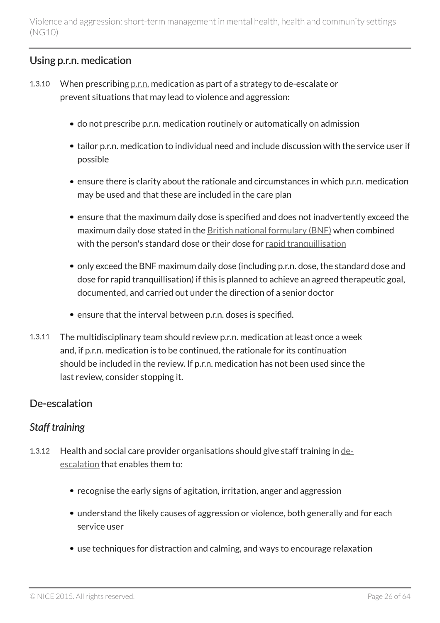### Using p.r.n. medication

- 1.3.10 When prescribing [p.r.n.](#page-13-1) medication as part of a strategy to de-escalate or prevent situations that may lead to violence and aggression:
	- do not prescribe p.r.n. medication routinely or automatically on admission
	- tailor p.r.n. medication to individual need and include discussion with the service user if possible
	- ensure there is clarity about the rationale and circumstances in which p.r.n. medication may be used and that these are included in the care plan
	- ensure that the maximum daily dose is specified and does not inadvertently exceed the maximum daily dose stated in the [British national formulary \(BNF\)](https://www.medicinescomplete.com/mc/bnf/current/) when combined with the person's standard dose or their dose for [rapid tranquillisation](#page-13-1)
	- only exceed the BNF maximum daily dose (including p.r.n. dose, the standard dose and dose for rapid tranquillisation) if this is planned to achieve an agreed therapeutic goal, documented, and carried out under the direction of a senior doctor
	- ensure that the interval between p.r.n. doses is specified.
- 1.3.11 The multidisciplinary team should review p.r.n. medication at least once a week and, if p.r.n. medication is to be continued, the rationale for its continuation should be included in the review. If p.r.n. medication has not been used since the last review, consider stopping it.

### De-escalation

### *Staff training*

- <span id="page-25-0"></span>1.3.12 Health and social care provider organisations should give staff training in [de](#page-13-1)[escalation](#page-13-1) that enables them to:
	- recognise the early signs of agitation, irritation, anger and aggression
	- understand the likely causes of aggression or violence, both generally and for each service user
	- use techniques for distraction and calming, and ways to encourage relaxation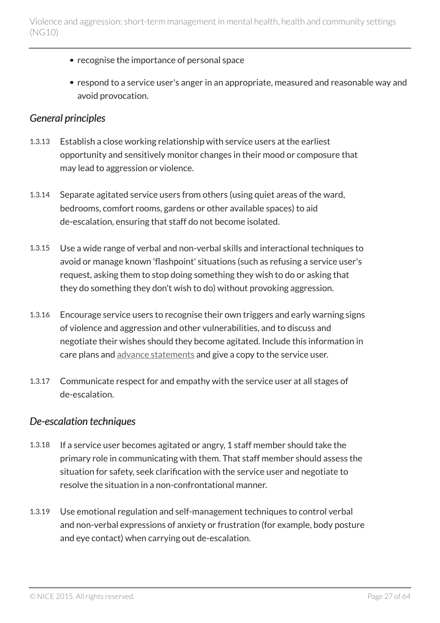- recognise the importance of personal space
- respond to a service user's anger in an appropriate, measured and reasonable way and avoid provocation.

#### *General principles*

- 1.3.13 Establish a close working relationship with service users at the earliest opportunity and sensitively monitor changes in their mood or composure that may lead to aggression or violence.
- 1.3.14 Separate agitated service users from others (using quiet areas of the ward, bedrooms, comfort rooms, gardens or other available spaces) to aid de-escalation, ensuring that staff do not become isolated.
- 1.3.15 Use a wide range of verbal and non-verbal skills and interactional techniques to avoid or manage known 'flashpoint' situations (such as refusing a service user's request, asking them to stop doing something they wish to do or asking that they do something they don't wish to do) without provoking aggression.
- 1.3.16 Encourage service users to recognise their own triggers and early warning signs of violence and aggression and other vulnerabilities, and to discuss and negotiate their wishes should they become agitated. Include this information in care plans and [advance statements](#page-13-1) and give a copy to the service user.
- 1.3.17 Communicate respect for and empathy with the service user at all stages of de-escalation.

#### <span id="page-26-0"></span>*De-escalation techniques*

- 1.3.18 If a service user becomes agitated or angry, 1 staff member should take the primary role in communicating with them. That staff member should assess the situation for safety, seek clarification with the service user and negotiate to resolve the situation in a non-confrontational manner.
- 1.3.19 Use emotional regulation and self-management techniques to control verbal and non-verbal expressions of anxiety or frustration (for example, body posture and eye contact) when carrying out de-escalation.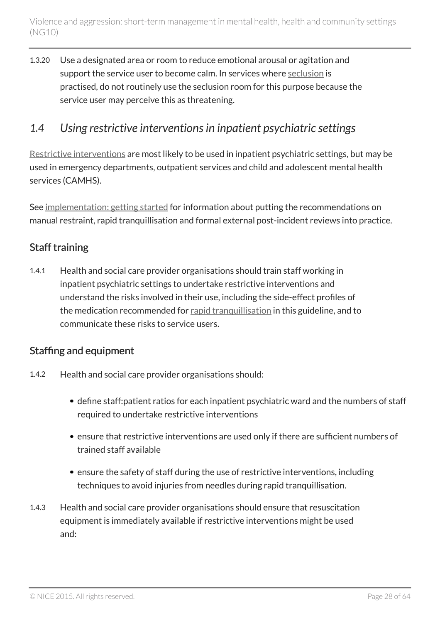1.3.20 Use a designated area or room to reduce emotional arousal or agitation and support the service user to become calm. In services where [seclusion](#page-13-1) is practised, do not routinely use the seclusion room for this purpose because the service user may perceive this as threatening.

### <span id="page-27-0"></span>*1.4 Using restrictive interventions in inpatient psychiatric settings*

[Restrictive interventions](#page-13-1) are most likely to be used in inpatient psychiatric settings, but may be used in emergency departments, outpatient services and child and adolescent mental health services (CAMHS).

See [implementation: getting started](#page-56-0) for information about putting the recommendations on manual restraint, rapid tranquillisation and formal external post-incident reviews into practice.

### Staff training

<span id="page-27-1"></span>1.4.1 Health and social care provider organisations should train staff working in inpatient psychiatric settings to undertake restrictive interventions and understand the risks involved in their use, including the side-effect profiles of the medication recommended for [rapid tranquillisation](#page-13-1) in this guideline, and to communicate these risks to service users.

### <span id="page-27-2"></span>Staffing and equipment

- 1.4.2 Health and social care provider organisations should:
	- define staff:patient ratios for each inpatient psychiatric ward and the numbers of staff required to undertake restrictive interventions
	- ensure that restrictive interventions are used only if there are sufficient numbers of trained staff available
	- ensure the safety of staff during the use of restrictive interventions, including techniques to avoid injuries from needles during rapid tranquillisation.
- 1.4.3 Health and social care provider organisations should ensure that resuscitation equipment is immediately available if restrictive interventions might be used and: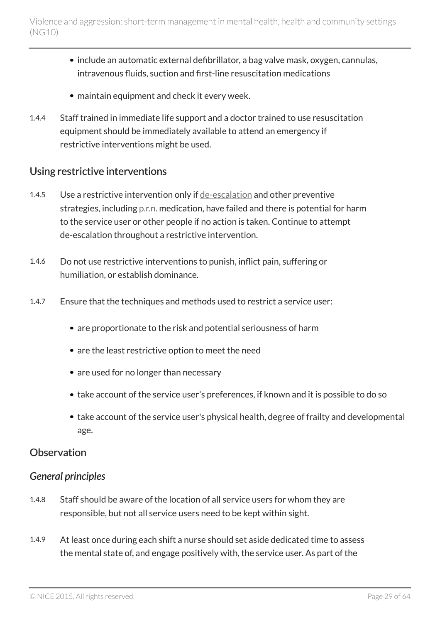- include an automatic external defibrillator, a bag valve mask, oxygen, cannulas, intravenous fluids, suction and first-line resuscitation medications
- maintain equipment and check it every week.
- 1.4.4 Staff trained in immediate life support and a doctor trained to use resuscitation equipment should be immediately available to attend an emergency if restrictive interventions might be used.

#### Using restrictive interventions

- 1.4.5 Use a restrictive intervention only if <u>[de-escalation](#page-13-1)</u> and other preventive strategies, including [p.r.n.](#page-13-1) medication, have failed and there is potential for harm to the service user or other people if no action is taken. Continue to attempt de-escalation throughout a restrictive intervention.
- 1.4.6 Do not use restrictive interventions to punish, inflict pain, suffering or humiliation, or establish dominance.
- 1.4.7 Ensure that the techniques and methods used to restrict a service user:
	- are proportionate to the risk and potential seriousness of harm
	- are the least restrictive option to meet the need
	- are used for no longer than necessary
	- take account of the service user's preferences, if known and it is possible to do so
	- take account of the service user's physical health, degree of frailty and developmental age.

#### **Observation**

#### *General principles*

- 1.4.8 Staff should be aware of the location of all service users for whom they are responsible, but not all service users need to be kept within sight.
- 1.4.9 At least once during each shift a nurse should set aside dedicated time to assess the mental state of, and engage positively with, the service user. As part of the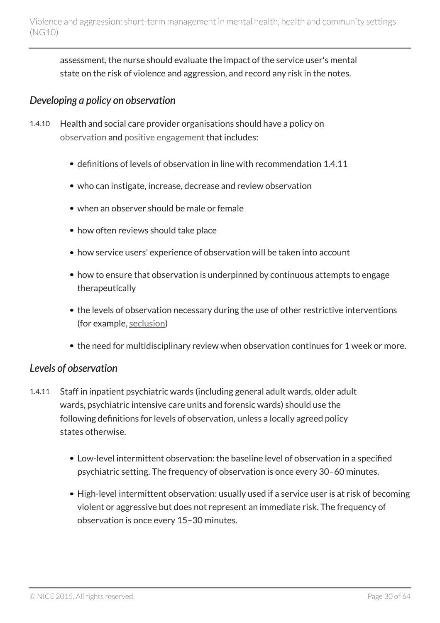assessment, the nurse should evaluate the impact of the service user's mental state on the risk of violence and aggression, and record any risk in the notes.

### *Developing a policy on observation*

- 1.4.10 Health and social care provider organisations should have a policy on [observation](#page-13-1) and [positive engagement](#page-13-1) that includes:
	- definitions of levels of observation in line with recommendation 1.4.11
	- who can instigate, increase, decrease and review observation
	- when an observer should be male or female
	- how often reviews should take place
	- how service users' experience of observation will be taken into account
	- how to ensure that observation is underpinned by continuous attempts to engage therapeutically
	- the levels of observation necessary during the use of other restrictive interventions (for example, [seclusion](#page-13-1))
	- the need for multidisciplinary review when observation continues for 1 week or more.

#### *Levels of observation*

- <span id="page-29-0"></span>1.4.11 Staff in inpatient psychiatric wards (including general adult wards, older adult wards, psychiatric intensive care units and forensic wards) should use the following definitions for levels of observation, unless a locally agreed policy states otherwise.
	- Low-level intermittent observation: the baseline level of observation in a specified psychiatric setting. The frequency of observation is once every 30–60 minutes.
	- High-level intermittent observation: usually used if a service user is at risk of becoming violent or aggressive but does not represent an immediate risk. The frequency of observation is once every 15–30 minutes.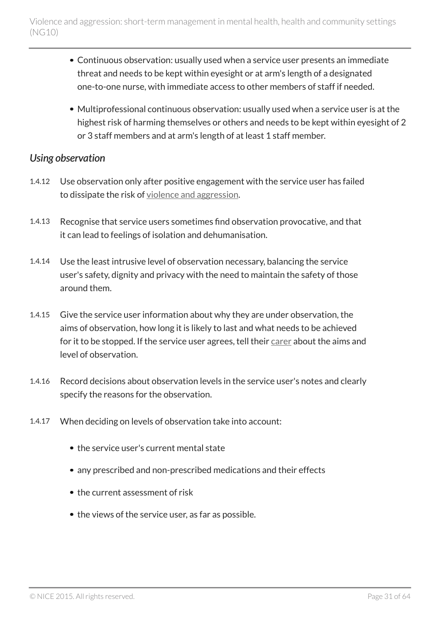- Continuous observation: usually used when a service user presents an immediate threat and needs to be kept within eyesight or at arm's length of a designated one-to-one nurse, with immediate access to other members of staff if needed.
- Multiprofessional continuous observation: usually used when a service user is at the highest risk of harming themselves or others and needs to be kept within eyesight of 2 or 3 staff members and at arm's length of at least 1 staff member.

#### *Using observation*

- 1.4.12 Use observation only after positive engagement with the service user has failed to dissipate the risk of [violence and aggression](#page-13-1).
- 1.4.13 Recognise that service users sometimes find observation provocative, and that it can lead to feelings of isolation and dehumanisation.
- 1.4.14 Use the least intrusive level of observation necessary, balancing the service user's safety, dignity and privacy with the need to maintain the safety of those around them.
- 1.4.15 Give the service user information about why they are under observation, the aims of observation, how long it is likely to last and what needs to be achieved for it to be stopped. If the service user agrees, tell their [carer](#page-13-1) about the aims and level of observation.
- 1.4.16 Record decisions about observation levels in the service user's notes and clearly specify the reasons for the observation.
- 1.4.17 When deciding on levels of observation take into account:
	- the service user's current mental state
	- any prescribed and non-prescribed medications and their effects
	- the current assessment of risk
	- the views of the service user, as far as possible.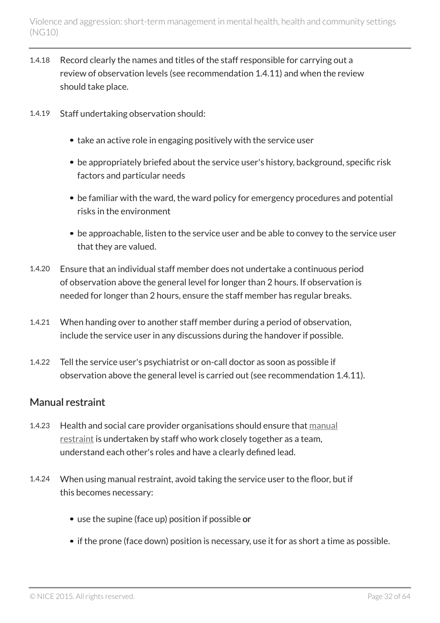- 1.4.18 Record clearly the names and titles of the staff responsible for carrying out a review of observation levels (see recommendation 1.4.11) and when the review should take place.
- 1.4.19 Staff undertaking observation should:
	- take an active role in engaging positively with the service user
	- be appropriately briefed about the service user's history, background, specific risk factors and particular needs
	- be familiar with the ward, the ward policy for emergency procedures and potential risks in the environment
	- be approachable, listen to the service user and be able to convey to the service user that they are valued.
- 1.4.20 Ensure that an individual staff member does not undertake a continuous period of observation above the general level for longer than 2 hours. If observation is needed for longer than 2 hours, ensure the staff member has regular breaks.
- 1.4.21 When handing over to another staff member during a period of observation, include the service user in any discussions during the handover if possible.
- 1.4.22 Tell the service user's psychiatrist or on-call doctor as soon as possible if observation above the general level is carried out (see recommendation 1.4.11).

### <span id="page-31-1"></span>Manual restraint

- <span id="page-31-0"></span>1.4.23 Health and social care provider organisations should ensure that [manual](#page-13-1) [restraint](#page-13-1) is undertaken by staff who work closely together as a team, understand each other's roles and have a clearly defined lead.
- 1.4.24 When using manual restraint, avoid taking the service user to the floor, but if this becomes necessary:
	- use the supine (face up) position if possible or
	- if the prone (face down) position is necessary, use it for as short a time as possible.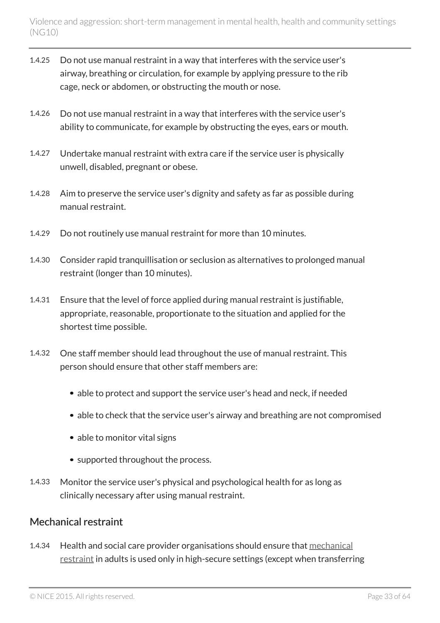- 1.4.25 Do not use manual restraint in a way that interferes with the service user's airway, breathing or circulation, for example by applying pressure to the rib cage, neck or abdomen, or obstructing the mouth or nose.
- 1.4.26 Do not use manual restraint in a way that interferes with the service user's ability to communicate, for example by obstructing the eyes, ears or mouth.
- 1.4.27 Undertake manual restraint with extra care if the service user is physically unwell, disabled, pregnant or obese.
- 1.4.28 Aim to preserve the service user's dignity and safety as far as possible during manual restraint.
- 1.4.29 Do not routinely use manual restraint for more than 10 minutes.
- 1.4.30 Consider rapid tranquillisation or seclusion as alternatives to prolonged manual restraint (longer than 10 minutes).
- 1.4.31 Ensure that the level of force applied during manual restraint is justifiable, appropriate, reasonable, proportionate to the situation and applied for the shortest time possible.
- 1.4.32 One staff member should lead throughout the use of manual restraint. This person should ensure that other staff members are:
	- able to protect and support the service user's head and neck, if needed
	- able to check that the service user's airway and breathing are not compromised
	- able to monitor vital signs
	- supported throughout the process.
- 1.4.33 Monitor the service user's physical and psychological health for as long as clinically necessary after using manual restraint.

#### Mechanical restraint

1.4.34 Health and social care provider organisations should ensure that [mechanical](#page-13-1) [restraint](#page-13-1) in adults is used only in high-secure settings (except when transferring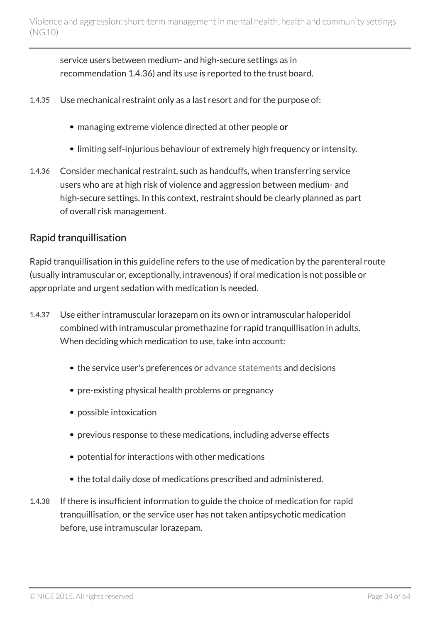service users between medium- and high-secure settings as in recommendation 1.4.36) and its use is reported to the trust board.

- 1.4.35 Use mechanical restraint only as a last resort and for the purpose of:
	- managing extreme violence directed at other people or
	- limiting self-injurious behaviour of extremely high frequency or intensity.
- 1.4.36 Consider mechanical restraint, such as handcuffs, when transferring service users who are at high risk of violence and aggression between medium- and high-secure settings. In this context, restraint should be clearly planned as part of overall risk management.

#### Rapid tranquillisation

Rapid tranquillisation in this guideline refers to the use of medication by the parenteral route (usually intramuscular or, exceptionally, intravenous) if oral medication is not possible or appropriate and urgent sedation with medication is needed.

- <span id="page-33-0"></span>1.4.37 Use either intramuscular lorazepam on its own or intramuscular haloperidol combined with intramuscular promethazine for rapid tranquillisation in adults. When deciding which medication to use, take into account:
	- the service user's preferences or [advance statements](#page-13-1) and decisions
	- pre-existing physical health problems or pregnancy
	- possible intoxication
	- previous response to these medications, including adverse effects
	- potential for interactions with other medications
	- the total daily dose of medications prescribed and administered.
- 1.4.38 If there is insufficient information to guide the choice of medication for rapid tranquillisation, or the service user has not taken antipsychotic medication before, use intramuscular lorazepam.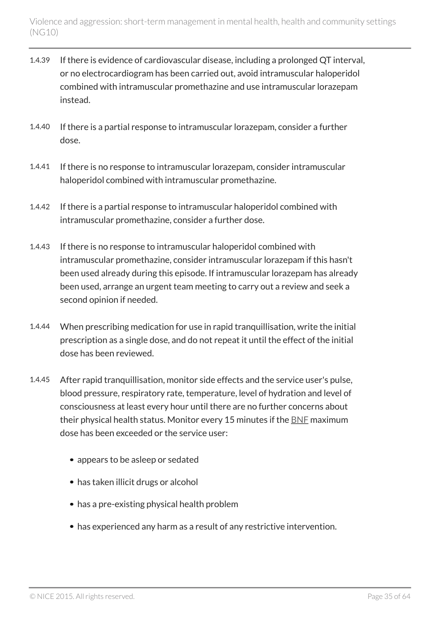- 1.4.39 If there is evidence of cardiovascular disease, including a prolonged QT interval, or no electrocardiogram has been carried out, avoid intramuscular haloperidol combined with intramuscular promethazine and use intramuscular lorazepam instead.
- 1.4.40 If there is a partial response to intramuscular lorazepam, consider a further dose.
- 1.4.41 If there is no response to intramuscular lorazepam, consider intramuscular haloperidol combined with intramuscular promethazine.
- 1.4.42 If there is a partial response to intramuscular haloperidol combined with intramuscular promethazine, consider a further dose.
- 1.4.43 If there is no response to intramuscular haloperidol combined with intramuscular promethazine, consider intramuscular lorazepam if this hasn't been used already during this episode. If intramuscular lorazepam has already been used, arrange an urgent team meeting to carry out a review and seek a second opinion if needed.
- 1.4.44 When prescribing medication for use in rapid tranquillisation, write the initial prescription as a single dose, and do not repeat it until the effect of the initial dose has been reviewed.
- 1.4.45 After rapid tranquillisation, monitor side effects and the service user's pulse, blood pressure, respiratory rate, temperature, level of hydration and level of consciousness at least every hour until there are no further concerns about their physical health status. Monitor every 15 minutes if the [BNF](https://www.medicinescomplete.com/mc/bnf/current/) maximum dose has been exceeded or the service user:
	- appears to be asleep or sedated
	- has taken illicit drugs or alcohol
	- has a pre-existing physical health problem
	- has experienced any harm as a result of any restrictive intervention.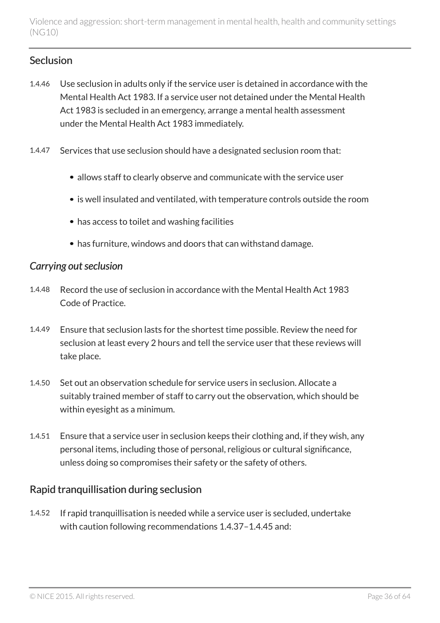#### Seclusion

- 1.4.46 Use seclusion in adults only if the service user is detained in accordance with the Mental Health Act 1983. If a service user not detained under the Mental Health Act 1983 is secluded in an emergency, arrange a mental health assessment under the Mental Health Act 1983 immediately.
- 1.4.47 Services that use seclusion should have a designated seclusion room that:
	- allows staff to clearly observe and communicate with the service user
	- is well insulated and ventilated, with temperature controls outside the room
	- has access to toilet and washing facilities
	- has furniture, windows and doors that can withstand damage.

#### *Carrying out seclusion*

- 1.4.48 Record the use of seclusion in accordance with the Mental Health Act 1983 Code of Practice.
- 1.4.49 Ensure that seclusion lasts for the shortest time possible. Review the need for seclusion at least every 2 hours and tell the service user that these reviews will take place.
- 1.4.50 Set out an observation schedule for service users in seclusion. Allocate a suitably trained member of staff to carry out the observation, which should be within eyesight as a minimum.
- 1.4.51 Ensure that a service user in seclusion keeps their clothing and, if they wish, any personal items, including those of personal, religious or cultural significance, unless doing so compromises their safety or the safety of others.

#### Rapid tranquillisation during seclusion

1.4.52 If rapid tranquillisation is needed while a service user is secluded, undertake with caution following recommendations 1.4.37–1.4.45 and: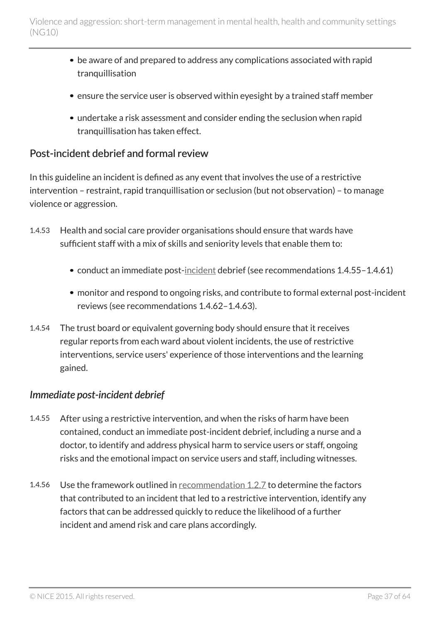- be aware of and prepared to address any complications associated with rapid tranquillisation
- ensure the service user is observed within eyesight by a trained staff member
- undertake a risk assessment and consider ending the seclusion when rapid tranquillisation has taken effect.

#### <span id="page-36-1"></span>Post-incident debrief and formal review

In this guideline an incident is defined as any event that involves the use of a restrictive intervention – restraint, rapid tranquillisation or seclusion (but not observation) – to manage violence or aggression.

- 1.4.53 Health and social care provider organisations should ensure that wards have sufficient staff with a mix of skills and seniority levels that enable them to:
	- conduct an immediate post-[incident](#page-13-1) debrief (see recommendations 1.4.55-1.4.61)
	- monitor and respond to ongoing risks, and contribute to formal external post-incident reviews (see recommendations 1.4.62–1.4.63).
- 1.4.54 The trust board or equivalent governing body should ensure that it receives regular reports from each ward about violent incidents, the use of restrictive interventions, service users' experience of those interventions and the learning gained.

#### *Immediate post-incident debrief*

- <span id="page-36-0"></span>1.4.55 After using a restrictive intervention, and when the risks of harm have been contained, conduct an immediate post-incident debrief, including a nurse and a doctor, to identify and address physical harm to service users or staff, ongoing risks and the emotional impact on service users and staff, including witnesses.
- 1.4.56 Use the framework outlined in [recommendation](#page-19-0) 1.2.7 to determine the factors that contributed to an incident that led to a restrictive intervention, identify any factors that can be addressed quickly to reduce the likelihood of a further incident and amend risk and care plans accordingly.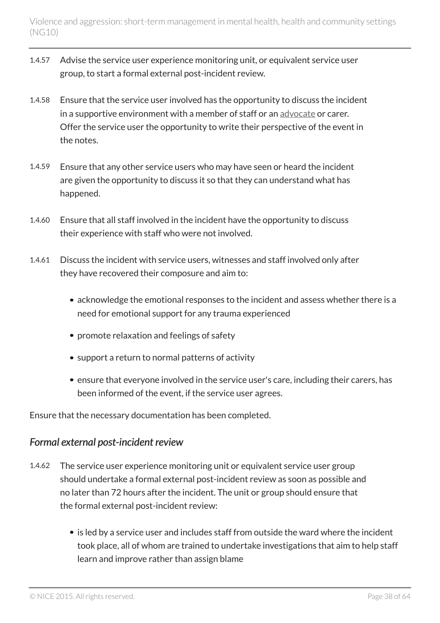- 1.4.57 Advise the service user experience monitoring unit, or equivalent service user group, to start a formal external post-incident review.
- 1.4.58 Ensure that the service user involved has the opportunity to discuss the incident in a supportive environment with a member of staff or an [advocate](#page-13-1) or carer. Offer the service user the opportunity to write their perspective of the event in the notes.
- 1.4.59 Ensure that any other service users who may have seen or heard the incident are given the opportunity to discuss it so that they can understand what has happened.
- 1.4.60 Ensure that all staff involved in the incident have the opportunity to discuss their experience with staff who were not involved.
- 1.4.61 Discuss the incident with service users, witnesses and staff involved only after they have recovered their composure and aim to:
	- acknowledge the emotional responses to the incident and assess whether there is a need for emotional support for any trauma experienced
	- promote relaxation and feelings of safety
	- support a return to normal patterns of activity
	- ensure that everyone involved in the service user's care, including their carers, has been informed of the event, if the service user agrees.

Ensure that the necessary documentation has been completed.

### *Formal external post-incident review*

- <span id="page-37-0"></span>1.4.62 The service user experience monitoring unit or equivalent service user group should undertake a formal external post-incident review as soon as possible and no later than 72 hours after the incident. The unit or group should ensure that the formal external post-incident review:
	- is led by a service user and includes staff from outside the ward where the incident took place, all of whom are trained to undertake investigations that aim to help staff learn and improve rather than assign blame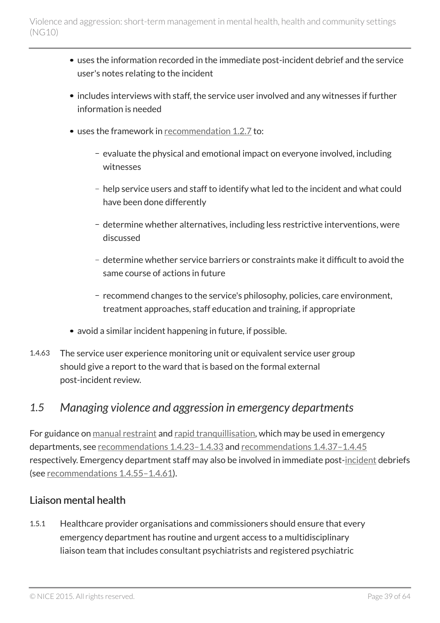- uses the information recorded in the immediate post-incident debrief and the service user's notes relating to the incident
- includes interviews with staff, the service user involved and any witnesses if further information is needed
- uses the framework in [recommendation](#page-19-0) 1.2.7 to:
	- $-$  evaluate the physical and emotional impact on everyone involved, including witnesses
	- help service users and staff to identify what led to the incident and what could have been done differently
	- determine whether alternatives, including less restrictive interventions, were discussed
	- determine whether service barriers or constraints make it difficult to avoid the same course of actions in future
	- recommend changes to the service's philosophy, policies, care environment, treatment approaches, staff education and training, if appropriate
- avoid a similar incident happening in future, if possible.
- 1.4.63 The service user experience monitoring unit or equivalent service user group should give a report to the ward that is based on the formal external post-incident review.

### <span id="page-38-0"></span>*1.5 Managing violence and aggression in emergency departments*

For guidance on [manual restraint](#page-13-1) and [rapid tranquillisation](#page-13-1), which may be used in emergency departments, see [recommendations](#page-31-0) 1.4.23–1.4.33 and [recommendations](#page-33-0) 1.4.37–1.4.45 respectively. Emergency department staff may also be involved in immediate post-[incident](#page-13-1) debriefs (see [recommendations](#page-36-0) 1.4.55–1.4.61).

#### Liaison mental health

1.5.1 Healthcare provider organisations and commissioners should ensure that every emergency department has routine and urgent access to a multidisciplinary liaison team that includes consultant psychiatrists and registered psychiatric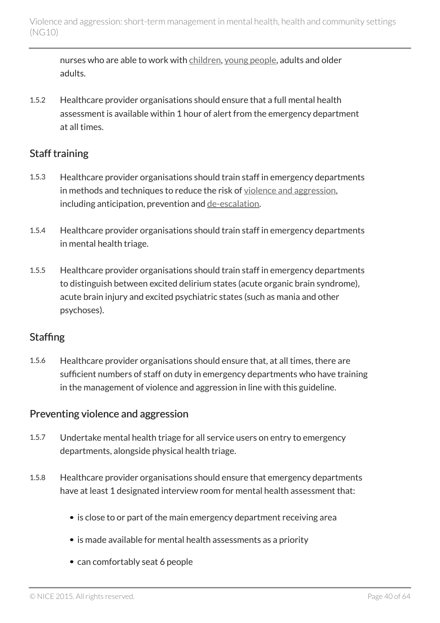nurses who are able to work with [children,](#page-13-1) [young people,](#page-13-1) adults and older adults.

1.5.2 Healthcare provider organisations should ensure that a full mental health assessment is available within 1 hour of alert from the emergency department at all times.

#### Staff training

- 1.5.3 Healthcare provider organisations should train staff in emergency departments in methods and techniques to reduce the risk of [violence and aggression](#page-13-1), including anticipation, prevention and [de-escalation.](#page-13-1)
- 1.5.4 Healthcare provider organisations should train staff in emergency departments in mental health triage.
- 1.5.5 Healthcare provider organisations should train staff in emergency departments to distinguish between excited delirium states (acute organic brain syndrome), acute brain injury and excited psychiatric states (such as mania and other psychoses).

#### **Staffing**

1.5.6 Healthcare provider organisations should ensure that, at all times, there are sufficient numbers of staff on duty in emergency departments who have training in the management of violence and aggression in line with this guideline.

#### Preventing violence and aggression

- 1.5.7 Undertake mental health triage for all service users on entry to emergency departments, alongside physical health triage.
- 1.5.8 Healthcare provider organisations should ensure that emergency departments have at least 1 designated interview room for mental health assessment that:
	- is close to or part of the main emergency department receiving area
	- is made available for mental health assessments as a priority
	- can comfortably seat 6 people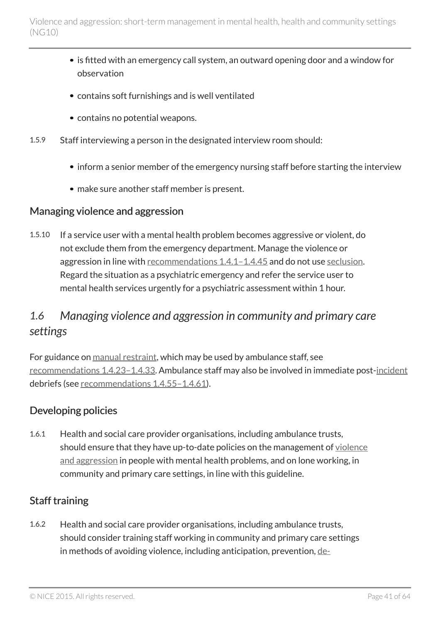- is fitted with an emergency call system, an outward opening door and a window for observation
- contains soft furnishings and is well ventilated
- contains no potential weapons.
- 1.5.9 Staff interviewing a person in the designated interview room should:
	- inform a senior member of the emergency nursing staff before starting the interview
	- make sure another staff member is present.

#### Managing violence and aggression

1.5.10 If a service user with a mental health problem becomes aggressive or violent, do not exclude them from the emergency department. Manage the violence or aggression in line with [recommendations](#page-27-1) 1.4.1-1.4.45 and do not use [seclusion.](#page-13-1) Regard the situation as a psychiatric emergency and refer the service user to mental health services urgently for a psychiatric assessment within 1 hour.

## <span id="page-40-0"></span>*1.6 Managing violence and aggression in community and primary care settings*

For guidance on [manual restraint,](#page-13-1) which may be used by ambulance staff, see [recommendations](#page-31-0) 1.4.23–1.4.33. Ambulance staff may also be involved in immediate post-[incident](#page-13-1) debriefs (see [recommendations](#page-36-0) 1.4.55–1.4.61).

### Developing policies

1.6.1 Health and social care provider organisations, including ambulance trusts, should ensure that they have up-to-date policies on the management of [violence](#page-13-1) [and aggression](#page-13-1) in people with mental health problems, and on lone working, in community and primary care settings, in line with this guideline.

### Staff training

1.6.2 Health and social care provider organisations, including ambulance trusts, should consider training staff working in community and primary care settings in methods of avoiding violence, including anticipation, prevention, [de-](#page-13-1)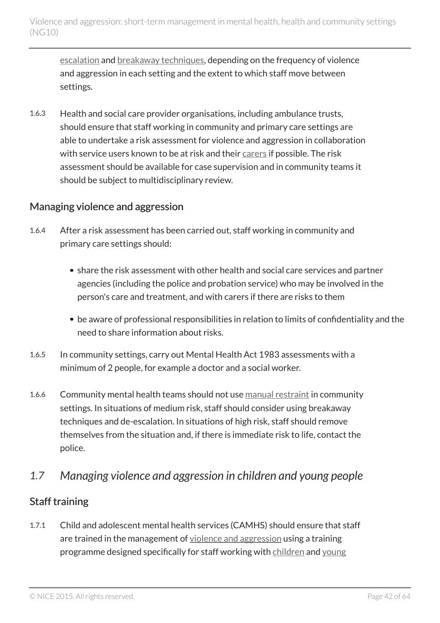[escalation](#page-13-1) and [breakaway techniques,](#page-13-1) depending on the frequency of violence and aggression in each setting and the extent to which staff move between settings.

1.6.3 Health and social care provider organisations, including ambulance trusts, should ensure that staff working in community and primary care settings are able to undertake a risk assessment for violence and aggression in collaboration with service users known to be at risk and their [carers](#page-13-1) if possible. The risk assessment should be available for case supervision and in community teams it should be subject to multidisciplinary review.

#### Managing violence and aggression

- 1.6.4 After a risk assessment has been carried out, staff working in community and primary care settings should:
	- share the risk assessment with other health and social care services and partner agencies (including the police and probation service) who may be involved in the person's care and treatment, and with carers if there are risks to them
	- be aware of professional responsibilities in relation to limits of confidentiality and the need to share information about risks.
- 1.6.5 In community settings, carry out Mental Health Act 1983 assessments with a minimum of 2 people, for example a doctor and a social worker.
- 1.6.6 Community mental health teams should not use [manual restraint](#page-13-1) in community settings. In situations of medium risk, staff should consider using breakaway techniques and de-escalation. In situations of high risk, staff should remove themselves from the situation and, if there is immediate risk to life, contact the police.

### <span id="page-41-0"></span>*1.7 Managing violence and aggression in children and young people*

### Staff training

1.7.1 Child and adolescent mental health services (CAMHS) should ensure that staff are trained in the management of [violence and aggression](#page-13-1) using a training programme designed specifically for staff working with [children](#page-13-1) and [young](#page-13-1)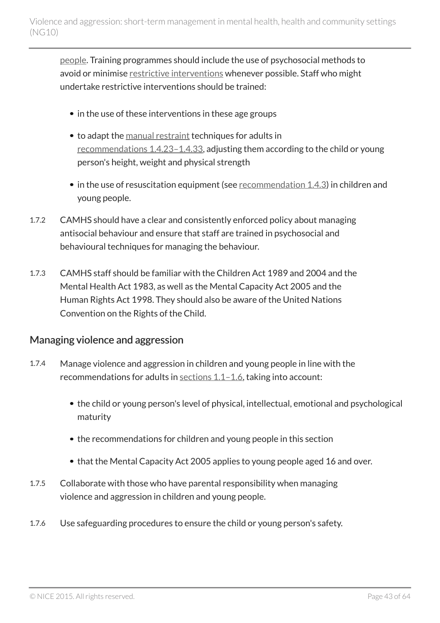[people.](#page-13-1) Training programmes should include the use of psychosocial methods to avoid or minimise [restrictive interventions](#page-13-1) whenever possible. Staff who might undertake restrictive interventions should be trained:

- in the use of these interventions in these age groups
- to adapt the [manual restraint](#page-13-1) techniques for adults in [recommendations](#page-31-0) 1.4.23–1.4.33, adjusting them according to the child or young person's height, weight and physical strength
- $\bullet$  in the use of resuscitation equipment (see [recommendation](#page-27-2) 1.4.3) in children and young people.
- 1.7.2 CAMHS should have a clear and consistently enforced policy about managing antisocial behaviour and ensure that staff are trained in psychosocial and behavioural techniques for managing the behaviour.
- 1.7.3 CAMHS staff should be familiar with the Children Act 1989 and 2004 and the Mental Health Act 1983, as well as the Mental Capacity Act 2005 and the Human Rights Act 1998. They should also be aware of the United Nations Convention on the Rights of the Child.

#### Managing violence and aggression

- 1.7.4 Manage violence and aggression in children and young people in line with the recommendations for adults in [sections](#page-15-0) 1.1–1.6, taking into account:
	- the child or young person's level of physical, intellectual, emotional and psychological maturity
	- the recommendations for children and young people in this section
	- that the Mental Capacity Act 2005 applies to young people aged 16 and over.
- 1.7.5 Collaborate with those who have parental responsibility when managing violence and aggression in children and young people.
- 1.7.6 Use safeguarding procedures to ensure the child or young person's safety.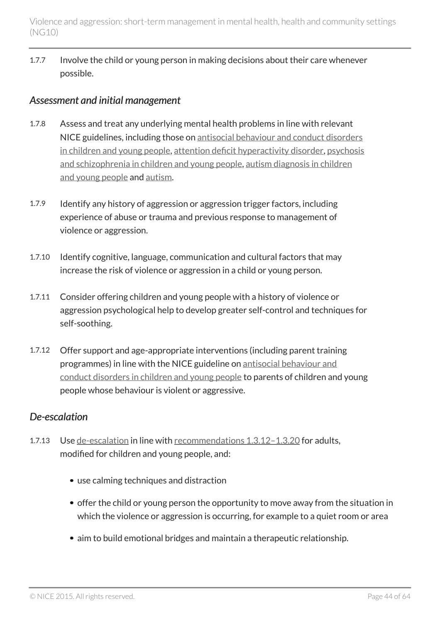1.7.7 Involve the child or young person in making decisions about their care whenever possible.

#### *Assessment and initial management*

- 1.7.8 Assess and treat any underlying mental health problems in line with relevant NICE guidelines, including those on [antisocial behaviour and conduct disorders](http://www.nice.org.uk/guidance/cg158) [in children and young people](http://www.nice.org.uk/guidance/cg158), [attention deficit hyperactivity disorder,](http://www.nice.org.uk/guidance/cg72) [psychosis](http://www.nice.org.uk/guidance/cg155) [and schizophrenia in children and young people](http://www.nice.org.uk/guidance/cg155), [autism diagnosis in children](http://www.nice.org.uk/guidance/cg128) [and young people](http://www.nice.org.uk/guidance/cg128) and [autism.](http://www.nice.org.uk/guidance/cg170)
- 1.7.9 Identify any history of aggression or aggression trigger factors, including experience of abuse or trauma and previous response to management of violence or aggression.
- 1.7.10 Identify cognitive, language, communication and cultural factors that may increase the risk of violence or aggression in a child or young person.
- 1.7.11 Consider offering children and young people with a history of violence or aggression psychological help to develop greater self-control and techniques for self-soothing.
- 1.7.12 Offer support and age-appropriate interventions (including parent training programmes) in line with the NICE guideline on [antisocial behaviour and](http://www.nice.org.uk/guidance/cg158) [conduct disorders in children and young people](http://www.nice.org.uk/guidance/cg158) to parents of children and young people whose behaviour is violent or aggressive.

#### *De-escalation*

- 1.7.13 Use [de-escalation](#page-13-1) in line with [recommendations](#page-25-0) 1.3.12-1.3.20 for adults, modified for children and young people, and:
	- use calming techniques and distraction
	- offer the child or young person the opportunity to move away from the situation in which the violence or aggression is occurring, for example to a quiet room or area
	- aim to build emotional bridges and maintain a therapeutic relationship.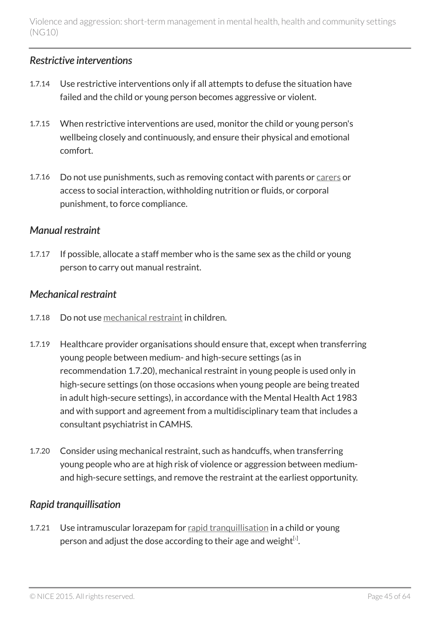#### *Restrictive interventions*

- 1.7.14 Use restrictive interventions only if all attempts to defuse the situation have failed and the child or young person becomes aggressive or violent.
- 1.7.15 When restrictive interventions are used, monitor the child or young person's wellbeing closely and continuously, and ensure their physical and emotional comfort.
- 1.7.16 Do not use punishments, such as removing contact with parents or [carers](#page-13-1) or access to social interaction, withholding nutrition or fluids, or corporal punishment, to force compliance.

#### *Manual restraint*

1.7.17 If possible, allocate a staff member who is the same sex as the child or young person to carry out manual restraint.

#### *Mechanical restraint*

- 1.7.18 Do not use [mechanical restraint](#page-13-1) in children.
- 1.7.19 Healthcare provider organisations should ensure that, except when transferring young people between medium- and high-secure settings (as in recommendation 1.7.20), mechanical restraint in young people is used only in high-secure settings (on those occasions when young people are being treated in adult high-secure settings), in accordance with the Mental Health Act 1983 and with support and agreement from a multidisciplinary team that includes a consultant psychiatrist in CAMHS.
- 1.7.20 Consider using mechanical restraint, such as handcuffs, when transferring young people who are at high risk of violence or aggression between mediumand high-secure settings, and remove the restraint at the earliest opportunity.

### *Rapid tranquillisation*

<span id="page-44-0"></span>1.7.21 Use intramuscular lorazepam for [rapid tranquillisation](#page-13-1) in a child or young person and adjust the dose according to their age and weight $^{\text{\tiny{[1]}}}$  $^{\text{\tiny{[1]}}}$  $^{\text{\tiny{[1]}}}$ .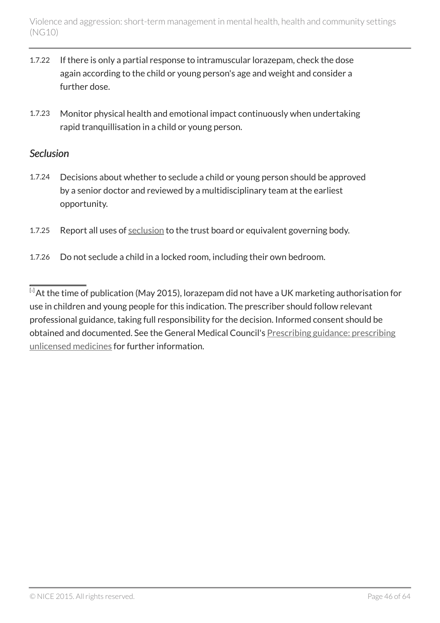- 1.7.22 If there is only a partial response to intramuscular lorazepam, check the dose again according to the child or young person's age and weight and consider a further dose.
- 1.7.23 Monitor physical health and emotional impact continuously when undertaking rapid tranquillisation in a child or young person.

#### *Seclusion*

- 1.7.24 Decisions about whether to seclude a child or young person should be approved by a senior doctor and reviewed by a multidisciplinary team at the earliest opportunity.
- 1.7.25 Report all uses of [seclusion](#page-13-1) to the trust board or equivalent governing body.
- 1.7.26 Do not seclude a child in a locked room, including their own bedroom.

<span id="page-45-0"></span> $\overline{14}$  $\overline{14}$  $\overline{14}$ At the time of publication (May 2015), lorazepam did not have a UK marketing authorisation for use in children and young people for this indication. The prescriber should follow relevant professional guidance, taking full responsibility for the decision. Informed consent should be obtained and documented. See the General Medical Council's [Prescribing guidance: prescribing](http://www.gmc-uk.org/guidance/ethical_guidance/14327.asp) [unlicensed medicines](http://www.gmc-uk.org/guidance/ethical_guidance/14327.asp) for further information.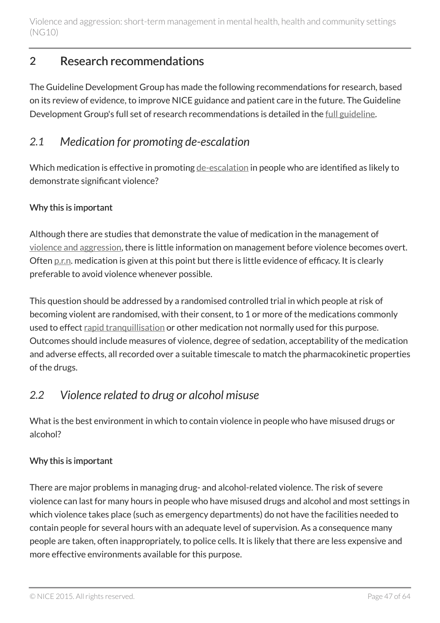## <span id="page-46-0"></span>2 Research recommendations

The Guideline Development Group has made the following recommendations for research, based on its review of evidence, to improve NICE guidance and patient care in the future. The Guideline Development Group's full set of research recommendations is detailed in the [full guideline](http://www.nice.org.uk/guidance/ng10/evidence).

### <span id="page-46-1"></span>*2.1 Medication for promoting de-escalation*

Which medication is effective in promoting [de-escalation](#page-13-1) in people who are identified as likely to demonstrate significant violence?

#### Why this is important

Although there are studies that demonstrate the value of medication in the management of [violence and aggression](#page-13-1), there is little information on management before violence becomes overt. Often [p.r.n.](#page-13-1) medication is given at this point but there is little evidence of efficacy. It is clearly preferable to avoid violence whenever possible.

This question should be addressed by a randomised controlled trial in which people at risk of becoming violent are randomised, with their consent, to 1 or more of the medications commonly used to effect [rapid tranquillisation](#page-13-1) or other medication not normally used for this purpose. Outcomes should include measures of violence, degree of sedation, acceptability of the medication and adverse effects, all recorded over a suitable timescale to match the pharmacokinetic properties of the drugs.

### <span id="page-46-2"></span>*2.2 Violence related to drug or alcohol misuse*

What is the best environment in which to contain violence in people who have misused drugs or alcohol?

#### Why this is important

There are major problems in managing drug- and alcohol-related violence. The risk of severe violence can last for many hours in people who have misused drugs and alcohol and most settings in which violence takes place (such as emergency departments) do not have the facilities needed to contain people for several hours with an adequate level of supervision. As a consequence many people are taken, often inappropriately, to police cells. It is likely that there are less expensive and more effective environments available for this purpose.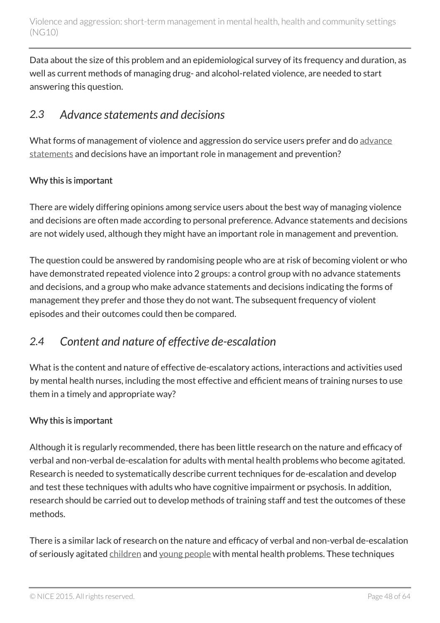Data about the size of this problem and an epidemiological survey of its frequency and duration, as well as current methods of managing drug- and alcohol-related violence, are needed to start answering this question.

## <span id="page-47-0"></span>*2.3 Advance statements and decisions*

What forms of management of violence and aggression do service users prefer and do [advance](#page-13-1) [statements](#page-13-1) and decisions have an important role in management and prevention?

#### Why this is important

There are widely differing opinions among service users about the best way of managing violence and decisions are often made according to personal preference. Advance statements and decisions are not widely used, although they might have an important role in management and prevention.

The question could be answered by randomising people who are at risk of becoming violent or who have demonstrated repeated violence into 2 groups: a control group with no advance statements and decisions, and a group who make advance statements and decisions indicating the forms of management they prefer and those they do not want. The subsequent frequency of violent episodes and their outcomes could then be compared.

## <span id="page-47-1"></span>*2.4 Content and nature of effective de-escalation*

What is the content and nature of effective de-escalatory actions, interactions and activities used by mental health nurses, including the most effective and efficient means of training nurses to use them in a timely and appropriate way?

#### Why this is important

Although it is regularly recommended, there has been little research on the nature and efficacy of verbal and non-verbal de-escalation for adults with mental health problems who become agitated. Research is needed to systematically describe current techniques for de-escalation and develop and test these techniques with adults who have cognitive impairment or psychosis. In addition, research should be carried out to develop methods of training staff and test the outcomes of these methods.

There is a similar lack of research on the nature and efficacy of verbal and non-verbal de-escalation of seriously agitated [children](#page-13-1) and [young people](#page-13-1) with mental health problems. These techniques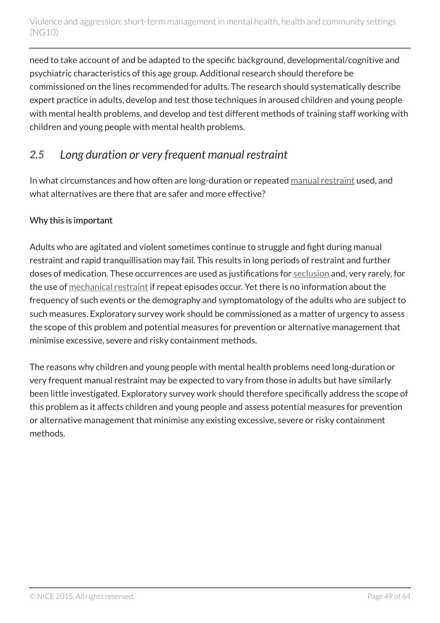need to take account of and be adapted to the specific background, developmental/cognitive and psychiatric characteristics of this age group. Additional research should therefore be commissioned on the lines recommended for adults. The research should systematically describe expert practice in adults, develop and test those techniques in aroused children and young people with mental health problems, and develop and test different methods of training staff working with children and young people with mental health problems.

## <span id="page-48-0"></span>*2.5 Long duration or very frequent manual restraint*

In what circumstances and how often are long-duration or repeated [manual restraint](#page-13-1) used, and what alternatives are there that are safer and more effective?

#### Why this is important

Adults who are agitated and violent sometimes continue to struggle and fight during manual restraint and rapid tranquillisation may fail. This results in long periods of restraint and further doses of medication. These occurrences are used as justifications for [seclusion](#page-13-1) and, very rarely, for the use of [mechanical restraint](#page-13-1) if repeat episodes occur. Yet there is no information about the frequency of such events or the demography and symptomatology of the adults who are subject to such measures. Exploratory survey work should be commissioned as a matter of urgency to assess the scope of this problem and potential measures for prevention or alternative management that minimise excessive, severe and risky containment methods.

The reasons why children and young people with mental health problems need long-duration or very frequent manual restraint may be expected to vary from those in adults but have similarly been little investigated. Exploratory survey work should therefore specifically address the scope of this problem as it affects children and young people and assess potential measures for prevention or alternative management that minimise any existing excessive, severe or risky containment methods.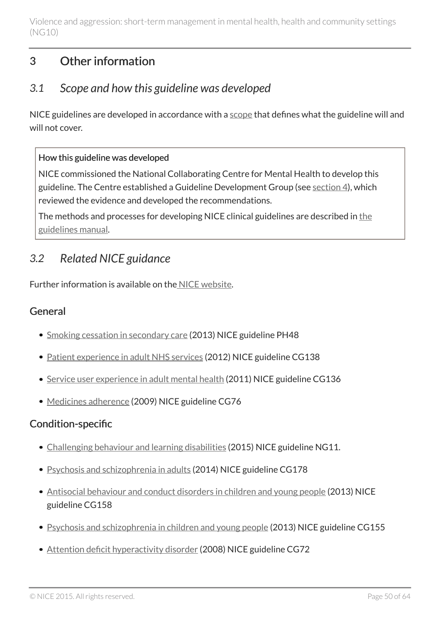## <span id="page-49-0"></span>3 Other information

## <span id="page-49-1"></span>*3.1 Scope and how this guideline was developed*

NICE guidelines are developed in accordance with a [scope](http://www.nice.org.uk/guidance/ng10/documents) that defines what the guideline will and will not cover.

#### How this guideline was developed

NICE commissioned the National Collaborating Centre for Mental Health to develop this guideline. The Centre established a Guideline Development Group (see [section 4](#page-51-0)), which reviewed the evidence and developed the recommendations.

The methods and processes for developing NICE clinical guidelines are described in [the](http://www.nice.org.uk/About/What-we-do/Our-Programmes/NICE-guidance/NICE-guidelines/NICE-clinical-guidelines) [guidelines manual.](http://www.nice.org.uk/About/What-we-do/Our-Programmes/NICE-guidance/NICE-guidelines/NICE-clinical-guidelines)

## <span id="page-49-2"></span>*3.2 Related NICE guidance*

Further information is available on the [NICE website](http://www.nice.org.uk/).

### General

- [Smoking cessation in secondary care](http://www.nice.org.uk/guidance/ph48) (2013) NICE guideline PH48
- [Patient experience in adult NHS services](http://www.nice.org.uk/guidance/cg138) (2012) NICE guideline CG138
- [Service user experience in adult mental health](http://www.nice.org.uk/guidance/cg136) (2011) NICE guideline CG136
- [Medicines adherence](http://www.nice.org.uk/guidance/cg76) (2009) NICE guideline CG76

#### Condition-specific

- [Challenging behaviour and learning disabilities](http://www.nice.org.uk/guidance/ng11) (2015) NICE guideline NG11.
- [Psychosis and schizophrenia in adults](http://www.nice.org.uk/guidance/cg178) (2014) NICE guideline CG178
- [Antisocial behaviour and conduct disorders in children and young people](http://www.nice.org.uk/guidance/cg158) (2013) NICE guideline CG158
- [Psychosis and schizophrenia in children and young people](http://www.nice.org.uk/guidance/cg155) (2013) NICE guideline CG155
- [Attention deficit hyperactivity disorder](http://www.nice.org.uk/guidance/cg72) (2008) NICE guideline CG72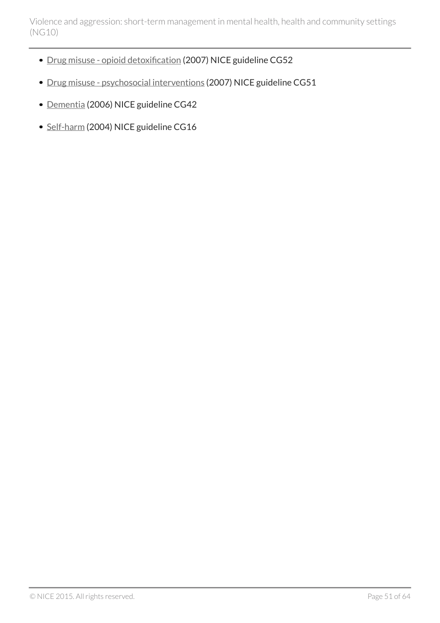- [Drug misuse opioid detoxification](http://www.nice.org.uk/guidance/cg52) (2007) NICE guideline CG52
- [Drug misuse psychosocial interventions](http://www.nice.org.uk/guidance/cg51) (2007) NICE guideline CG51
- [Dementia](http://www.nice.org.uk/guidance/cg42) (2006) NICE guideline CG42
- [Self-harm](http://www.nice.org.uk/guidance/cg16) (2004) NICE guideline CG16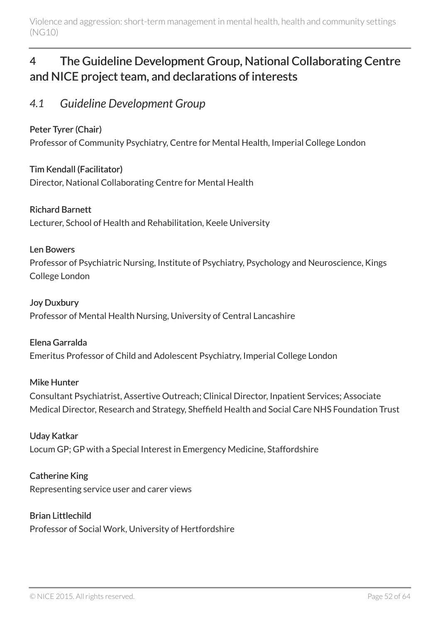## <span id="page-51-0"></span>4 The Guideline Development Group, National Collaborating Centre and NICE project team, and declarations of interests

### <span id="page-51-1"></span>*4.1 Guideline Development Group*

#### Peter Tyrer (Chair)

Professor of Community Psychiatry, Centre for Mental Health, Imperial College London

Tim Kendall (Facilitator) Director, National Collaborating Centre for Mental Health

#### Richard Barnett

Lecturer, School of Health and Rehabilitation, Keele University

#### Len Bowers

Professor of Psychiatric Nursing, Institute of Psychiatry, Psychology and Neuroscience, Kings College London

#### Joy Duxbury

Professor of Mental Health Nursing, University of Central Lancashire

#### Elena Garralda

Emeritus Professor of Child and Adolescent Psychiatry, Imperial College London

#### Mike Hunter

Consultant Psychiatrist, Assertive Outreach; Clinical Director, Inpatient Services; Associate Medical Director, Research and Strategy, Sheffield Health and Social Care NHS Foundation Trust

#### Uday Katkar

Locum GP; GP with a Special Interest in Emergency Medicine, Staffordshire

#### Catherine King

Representing service user and carer views

#### Brian Littlechild

Professor of Social Work, University of Hertfordshire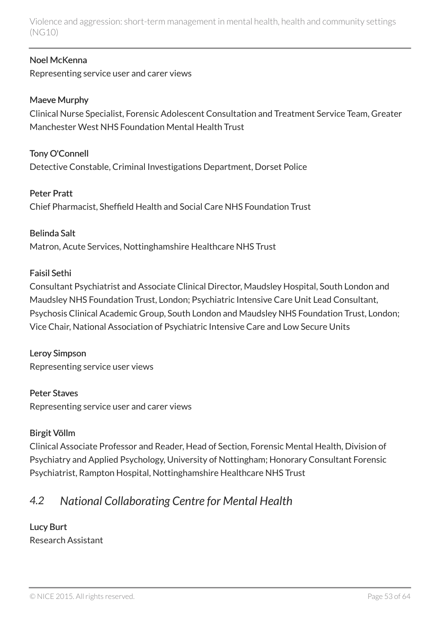#### Noel McKenna

Representing service user and carer views

#### Maeve Murphy

Clinical Nurse Specialist, Forensic Adolescent Consultation and Treatment Service Team, Greater Manchester West NHS Foundation Mental Health Trust

Tony O'Connell Detective Constable, Criminal Investigations Department, Dorset Police

#### Peter Pratt

Chief Pharmacist, Sheffield Health and Social Care NHS Foundation Trust

#### Belinda Salt

Matron, Acute Services, Nottinghamshire Healthcare NHS Trust

#### Faisil Sethi

Consultant Psychiatrist and Associate Clinical Director, Maudsley Hospital, South London and Maudsley NHS Foundation Trust, London; Psychiatric Intensive Care Unit Lead Consultant, Psychosis Clinical Academic Group, South London and Maudsley NHS Foundation Trust, London; Vice Chair, National Association of Psychiatric Intensive Care and Low Secure Units

#### Leroy Simpson

Representing service user views

#### Peter Staves

Representing service user and carer views

#### Birgit Völlm

Clinical Associate Professor and Reader, Head of Section, Forensic Mental Health, Division of Psychiatry and Applied Psychology, University of Nottingham; Honorary Consultant Forensic Psychiatrist, Rampton Hospital, Nottinghamshire Healthcare NHS Trust

## <span id="page-52-0"></span>*4.2 National Collaborating Centre for Mental Health*

#### Lucy Burt Research Assistant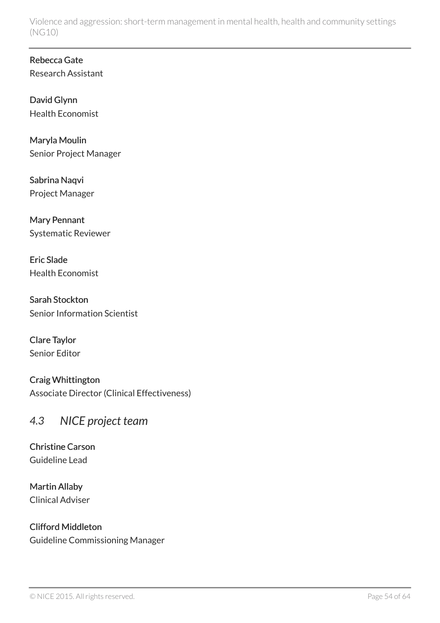Rebecca Gate Research Assistant

David Glynn Health Economist

Maryla Moulin Senior Project Manager

Sabrina Naqvi Project Manager

Mary Pennant Systematic Reviewer

Eric Slade Health Economist

Sarah Stockton Senior Information Scientist

Clare Taylor Senior Editor

Craig Whittington Associate Director (Clinical Effectiveness)

### <span id="page-53-0"></span>*4.3 NICE project team*

Christine Carson Guideline Lead

Martin Allaby Clinical Adviser

Clifford Middleton Guideline Commissioning Manager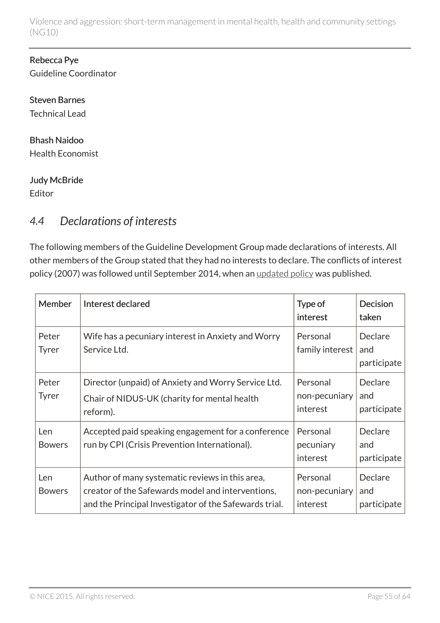#### Rebecca Pye Guideline Coordinator

Steven Barnes Technical Lead

## Bhash Naidoo

Health Economist

#### Judy McBride

Editor

## <span id="page-54-0"></span>*4.4 Declarations of interests*

The following members of the Guideline Development Group made declarations of interests. All other members of the Group stated that they had no interests to declare. The conflicts of interest policy (2007) was followed until September 2014, when an [updated policy](http://www.nice.org.uk/About/Who-we-are/policies-and-procedures) was published.

| <b>Member</b>         | Interest declared                                                                                                                                              | Type of<br>interest                   | <b>Decision</b><br>taken      |
|-----------------------|----------------------------------------------------------------------------------------------------------------------------------------------------------------|---------------------------------------|-------------------------------|
| Peter<br><b>Tyrer</b> | Wife has a pecuniary interest in Anxiety and Worry<br>Service Ltd.                                                                                             | Personal<br>family interest           | Declare<br>and<br>participate |
| Peter<br><b>Tyrer</b> | Director (unpaid) of Anxiety and Worry Service Ltd.<br>Chair of NIDUS-UK (charity for mental health<br>reform).                                                | Personal<br>non-pecuniary<br>interest | Declare<br>and<br>participate |
| Len<br><b>Bowers</b>  | Accepted paid speaking engagement for a conference<br>run by CPI (Crisis Prevention International).                                                            | Personal<br>pecuniary<br>interest     | Declare<br>and<br>participate |
| Len<br><b>Bowers</b>  | Author of many systematic reviews in this area,<br>creator of the Safewards model and interventions,<br>and the Principal Investigator of the Safewards trial. | Personal<br>non-pecuniary<br>interest | Declare<br>and<br>participate |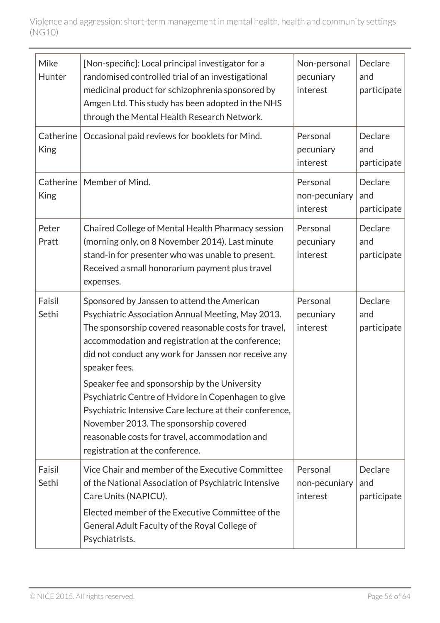| Mike<br>Hunter           | [Non-specific]: Local principal investigator for a<br>randomised controlled trial of an investigational<br>medicinal product for schizophrenia sponsored by<br>Amgen Ltd. This study has been adopted in the NHS<br>through the Mental Health Research Network.                                | Non-personal<br>pecuniary<br>interest | Declare<br>and<br>participate |
|--------------------------|------------------------------------------------------------------------------------------------------------------------------------------------------------------------------------------------------------------------------------------------------------------------------------------------|---------------------------------------|-------------------------------|
| Catherine<br><b>King</b> | Occasional paid reviews for booklets for Mind.                                                                                                                                                                                                                                                 | Personal<br>pecuniary<br>interest     | Declare<br>and<br>participate |
| Catherine<br><b>King</b> | Member of Mind.                                                                                                                                                                                                                                                                                | Personal<br>non-pecuniary<br>interest | Declare<br>and<br>participate |
| Peter<br>Pratt           | Chaired College of Mental Health Pharmacy session<br>(morning only, on 8 November 2014). Last minute<br>stand-in for presenter who was unable to present.<br>Received a small honorarium payment plus travel<br>expenses.                                                                      | Personal<br>pecuniary<br>interest     | Declare<br>and<br>participate |
| Faisil<br>Sethi          | Sponsored by Janssen to attend the American<br>Psychiatric Association Annual Meeting, May 2013.<br>The sponsorship covered reasonable costs for travel,<br>accommodation and registration at the conference;<br>did not conduct any work for Janssen nor receive any<br>speaker fees.         | Personal<br>pecuniary<br>interest     | Declare<br>and<br>participate |
|                          | Speaker fee and sponsorship by the University<br>Psychiatric Centre of Hvidore in Copenhagen to give<br>Psychiatric Intensive Care lecture at their conference,<br>November 2013. The sponsorship covered<br>reasonable costs for travel, accommodation and<br>registration at the conference. |                                       |                               |
| Faisil<br>Sethi          | Vice Chair and member of the Executive Committee<br>of the National Association of Psychiatric Intensive<br>Care Units (NAPICU).<br>Elected member of the Executive Committee of the<br>General Adult Faculty of the Royal College of<br>Psychiatrists.                                        | Personal<br>non-pecuniary<br>interest | Declare<br>and<br>participate |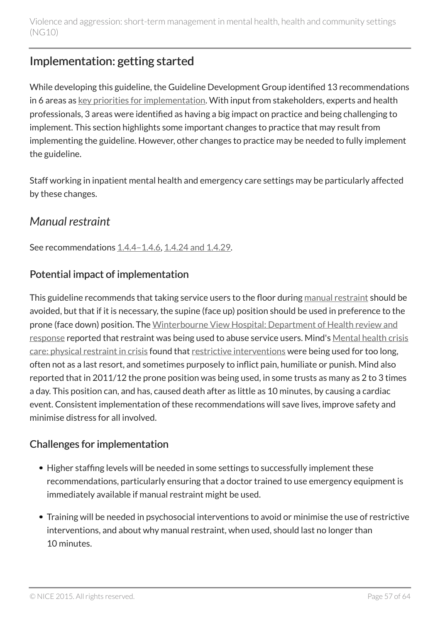## <span id="page-56-0"></span>Implementation: getting started

While developing this guideline, the Guideline Development Group identified 13 recommendations in 6 areas as [key priorities for implementation.](#page-7-0) With input from stakeholders, experts and health professionals, 3 areas were identified as having a big impact on practice and being challenging to implement. This section highlights some important changes to practice that may result from implementing the guideline. However, other changes to practice may be needed to fully implement the guideline.

Staff working in inpatient mental health and emergency care settings may be particularly affected by these changes.

## <span id="page-56-1"></span>*Manual restraint*

See recommendations [1.4.4–1.4.6](#page-27-2), [1.4.24 and 1.4.29.](#page-31-1)

### Potential impact of implementation

This guideline recommends that taking service users to the floor during [manual restraint](#page-13-1) should be avoided, but that if it is necessary, the supine (face up) position should be used in preference to the prone (face down) position. The [Winterbourne View Hospital: Department of Health review and](https://www.gov.uk/government/publications/winterbourne-view-hospital-department-of-health-review-and-response) [response](https://www.gov.uk/government/publications/winterbourne-view-hospital-department-of-health-review-and-response) reported that restraint was being used to abuse service users. Mind's [Mental health crisis](http://www.mind.org.uk/news-campaigns/campaigns/crisis-care/about-the-campaign/?ctaId=/news-campaigns/campaigns/crisis-care/crisis-care-slices/we-need-excellent-crisis-care/) [care: physical restraint in crisis](http://www.mind.org.uk/news-campaigns/campaigns/crisis-care/about-the-campaign/?ctaId=/news-campaigns/campaigns/crisis-care/crisis-care-slices/we-need-excellent-crisis-care/) found that [restrictive interventions](#page-13-1) were being used for too long, often not as a last resort, and sometimes purposely to inflict pain, humiliate or punish. Mind also reported that in 2011/12 the prone position was being used, in some trusts as many as 2 to 3 times a day. This position can, and has, caused death after as little as 10 minutes, by causing a cardiac event. Consistent implementation of these recommendations will save lives, improve safety and minimise distress for all involved.

### Challenges for implementation

- Higher staffing levels will be needed in some settings to successfully implement these recommendations, particularly ensuring that a doctor trained to use emergency equipment is immediately available if manual restraint might be used.
- Training will be needed in psychosocial interventions to avoid or minimise the use of restrictive interventions, and about why manual restraint, when used, should last no longer than 10 minutes.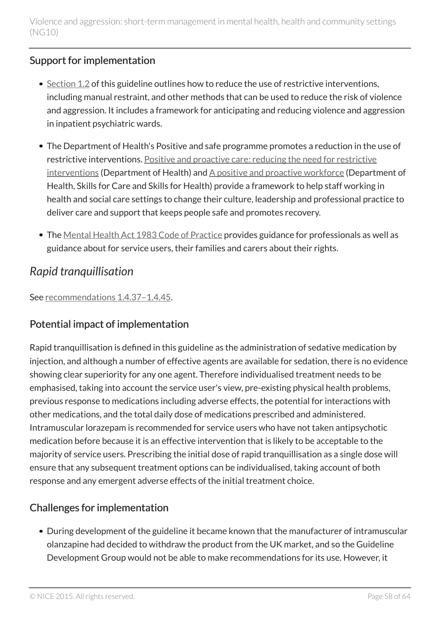### Support for implementation

- $\bullet$  [Section](#page-17-0) 1.2 of this guideline outlines how to reduce the use of restrictive interventions, including manual restraint, and other methods that can be used to reduce the risk of violence and aggression. It includes a framework for anticipating and reducing violence and aggression in inpatient psychiatric wards.
- The Department of Health's Positive and safe programme promotes a reduction in the use of restrictive interventions. [Positive and proactive care: reducing the need for restrictive](https://www.gov.uk/government/publications/positive-and-proactive-care-reducing-restrictive-interventions) [interventions](https://www.gov.uk/government/publications/positive-and-proactive-care-reducing-restrictive-interventions) (Department of Health) and [A positive and proactive workforce](http://www.skillsforcare.org.uk/Skills/Restrictive-practices/Restrictive-practices.aspx) (Department of Health, Skills for Care and Skills for Health) provide a framework to help staff working in health and social care settings to change their culture, leadership and professional practice to deliver care and support that keeps people safe and promotes recovery.
- The [Mental Health Act 1983 Code of Practice](https://www.gov.uk/government/publications/code-of-practice-mental-health-act-1983) provides guidance for professionals as well as guidance about for service users, their families and carers about their rights.

## <span id="page-57-0"></span>*Rapid tranquillisation*

See [recommendations](#page-33-0) 1.4.37–1.4.45.

### Potential impact of implementation

Rapid tranquillisation is defined in this guideline as the administration of sedative medication by injection, and although a number of effective agents are available for sedation, there is no evidence showing clear superiority for any one agent. Therefore individualised treatment needs to be emphasised, taking into account the service user's view, pre-existing physical health problems, previous response to medications including adverse effects, the potential for interactions with other medications, and the total daily dose of medications prescribed and administered. Intramuscular lorazepam is recommended for service users who have not taken antipsychotic medication before because it is an effective intervention that is likely to be acceptable to the majority of service users. Prescribing the initial dose of rapid tranquillisation as a single dose will ensure that any subsequent treatment options can be individualised, taking account of both response and any emergent adverse effects of the initial treatment choice.

### Challenges for implementation

During development of the guideline it became known that the manufacturer of intramuscular olanzapine had decided to withdraw the product from the UK market, and so the Guideline Development Group would not be able to make recommendations for its use. However, it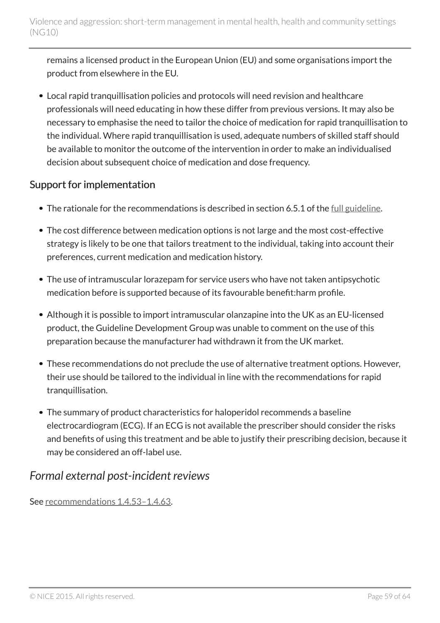remains a licensed product in the European Union (EU) and some organisations import the product from elsewhere in the EU.

Local rapid tranquillisation policies and protocols will need revision and healthcare professionals will need educating in how these differ from previous versions. It may also be necessary to emphasise the need to tailor the choice of medication for rapid tranquillisation to the individual. Where rapid tranquillisation is used, adequate numbers of skilled staff should be available to monitor the outcome of the intervention in order to make an individualised decision about subsequent choice of medication and dose frequency.

### Support for implementation

- The rationale for the recommendations is described in section 6.5.1 of the [full guideline.](http://www.nice.org.uk/guidance/ng10/Evidence)
- The cost difference between medication options is not large and the most cost-effective strategy is likely to be one that tailors treatment to the individual, taking into account their preferences, current medication and medication history.
- The use of intramuscular lorazepam for service users who have not taken antipsychotic medication before is supported because of its favourable benefit:harm profile.
- Although it is possible to import intramuscular olanzapine into the UK as an EU-licensed product, the Guideline Development Group was unable to comment on the use of this preparation because the manufacturer had withdrawn it from the UK market.
- These recommendations do not preclude the use of alternative treatment options. However, their use should be tailored to the individual in line with the recommendations for rapid tranquillisation.
- The summary of product characteristics for haloperidol recommends a baseline electrocardiogram (ECG). If an ECG is not available the prescriber should consider the risks and benefits of using this treatment and be able to justify their prescribing decision, because it may be considered an off-label use.

### <span id="page-58-0"></span>*Formal external post-incident reviews*

See [recommendations](#page-36-1) 1.4.53–1.4.63.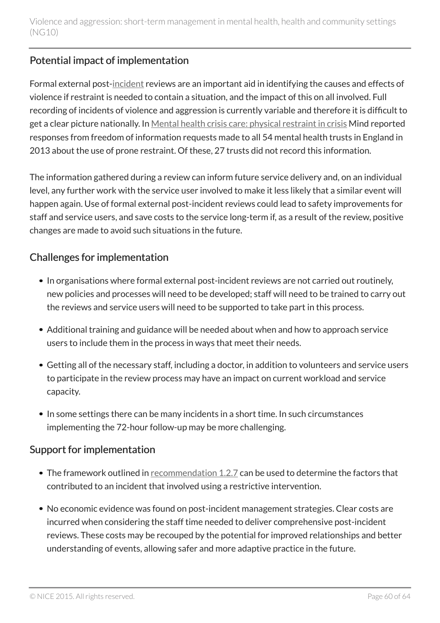### Potential impact of implementation

Formal external post[-incident](#page-13-1) reviews are an important aid in identifying the causes and effects of violence if restraint is needed to contain a situation, and the impact of this on all involved. Full recording of incidents of violence and aggression is currently variable and therefore it is difficult to get a clear picture nationally. In [Mental health crisis care: physical restraint in crisis](http://www.mind.org.uk/news-campaigns/campaigns/crisis-care/about-the-campaign/?ctaId=/news-campaigns/campaigns/crisis-care/crisis-care-slices/we-need-excellent-crisis-care/) Mind reported responses from freedom of information requests made to all 54 mental health trusts in England in 2013 about the use of prone restraint. Of these, 27 trusts did not record this information.

The information gathered during a review can inform future service delivery and, on an individual level, any further work with the service user involved to make it less likely that a similar event will happen again. Use of formal external post-incident reviews could lead to safety improvements for staff and service users, and save costs to the service long-term if, as a result of the review, positive changes are made to avoid such situations in the future.

### Challenges for implementation

- In organisations where formal external post-incident reviews are not carried out routinely, new policies and processes will need to be developed; staff will need to be trained to carry out the reviews and service users will need to be supported to take part in this process.
- Additional training and guidance will be needed about when and how to approach service users to include them in the process in ways that meet their needs.
- Getting all of the necessary staff, including a doctor, in addition to volunteers and service users to participate in the review process may have an impact on current workload and service capacity.
- In some settings there can be many incidents in a short time. In such circumstances implementing the 72-hour follow-up may be more challenging.

### Support for implementation

- The framework outlined in [recommendation](#page-19-0) 1.2.7 can be used to determine the factors that contributed to an incident that involved using a restrictive intervention.
- No economic evidence was found on post-incident management strategies. Clear costs are incurred when considering the staff time needed to deliver comprehensive post-incident reviews. These costs may be recouped by the potential for improved relationships and better understanding of events, allowing safer and more adaptive practice in the future.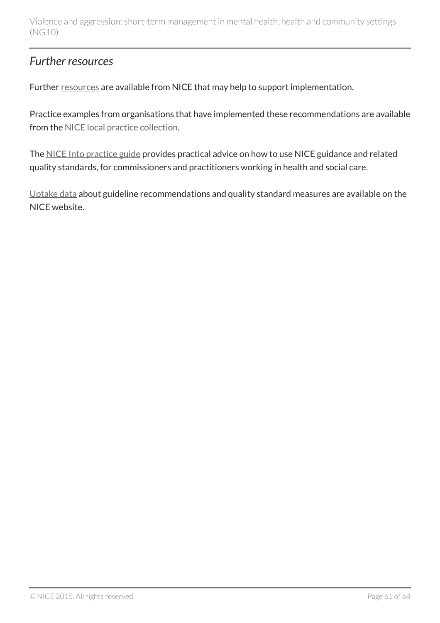### <span id="page-60-0"></span>*Further resources*

Further [resources](http://www.nice.org.uk/guidance/NG10/Resources) are available from NICE that may help to support implementation.

Practice examples from organisations that have implemented these recommendations are available from the [NICE local practice collection](http://www.nice.org.uk/proxy/?sourceUrl=http%3a%2f%2fwww.nice.org.uk%2flocalPractice%2fcollection).

The [NICE Into practice guide](http://www.nice.org.uk/about/what-we-do/into-practice/into-practice-guide) provides practical advice on how to use NICE guidance and related quality standards, for commissioners and practitioners working in health and social care.

[Uptake data](http://www.nice.org.uk/proxy/?sourceUrl=http%3a%2f%2fwww.nice.org.uk%2fuptake) about guideline recommendations and quality standard measures are available on the NICE website.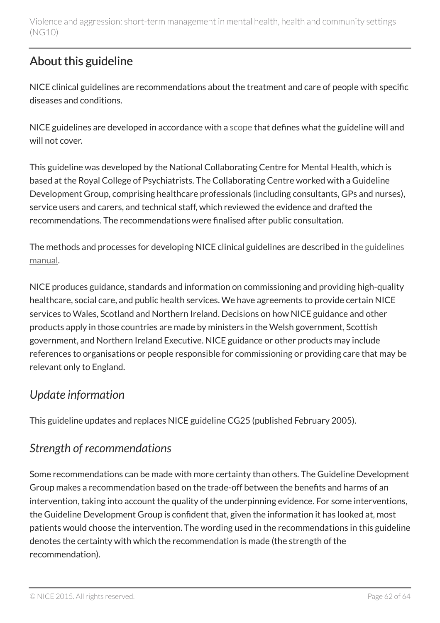## <span id="page-61-0"></span>About this guideline

NICE clinical guidelines are recommendations about the treatment and care of people with specific diseases and conditions.

NICE guidelines are developed in accordance with a [scope](http://www.nice.org.uk/guidance/ng10/documents) that defines what the guideline will and will not cover.

This guideline was developed by the National Collaborating Centre for Mental Health, which is based at the Royal College of Psychiatrists. The Collaborating Centre worked with a Guideline Development Group, comprising healthcare professionals (including consultants, GPs and nurses), service users and carers, and technical staff, which reviewed the evidence and drafted the recommendations. The recommendations were finalised after public consultation.

The methods and processes for developing NICE clinical guidelines are described in [the guidelines](http://www.nice.org.uk/About/What-we-do/Our-Programmes/NICE-guidance/NICE-guidelines/NICE-clinical-guidelines) [manual](http://www.nice.org.uk/About/What-we-do/Our-Programmes/NICE-guidance/NICE-guidelines/NICE-clinical-guidelines).

NICE produces guidance, standards and information on commissioning and providing high-quality healthcare, social care, and public health services. We have agreements to provide certain NICE services to Wales, Scotland and Northern Ireland. Decisions on how NICE guidance and other products apply in those countries are made by ministers in the Welsh government, Scottish government, and Northern Ireland Executive. NICE guidance or other products may include references to organisations or people responsible for commissioning or providing care that may be relevant only to England.

## <span id="page-61-1"></span>*Update information*

This guideline updates and replaces NICE guideline CG25 (published February 2005).

## <span id="page-61-2"></span>*Strength of recommendations*

Some recommendations can be made with more certainty than others. The Guideline Development Group makes a recommendation based on the trade-off between the benefits and harms of an intervention, taking into account the quality of the underpinning evidence. For some interventions, the Guideline Development Group is confident that, given the information it has looked at, most patients would choose the intervention. The wording used in the recommendations in this guideline denotes the certainty with which the recommendation is made (the strength of the recommendation).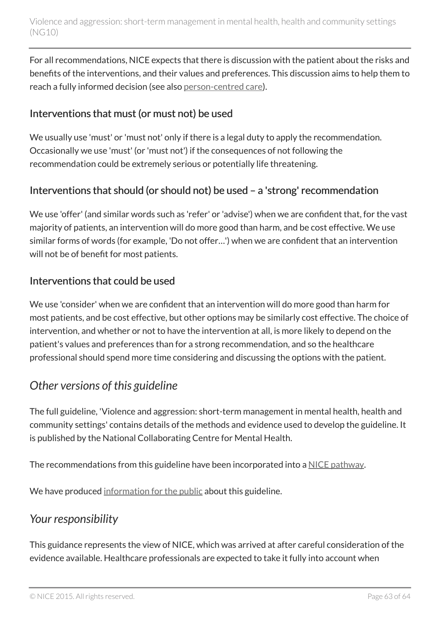For all recommendations, NICE expects that there is discussion with the patient about the risks and benefits of the interventions, and their values and preferences. This discussion aims to help them to reach a fully informed decision (see also [person-centred care](#page-6-0)).

### Interventions that must (or must not) be used

We usually use 'must' or 'must not' only if there is a legal duty to apply the recommendation. Occasionally we use 'must' (or 'must not') if the consequences of not following the recommendation could be extremely serious or potentially life threatening.

### Interventions that should (or should not) be used – a 'strong' recommendation

We use 'offer' (and similar words such as 'refer' or 'advise') when we are confident that, for the vast majority of patients, an intervention will do more good than harm, and be cost effective. We use similar forms of words (for example, 'Do not offer…') when we are confident that an intervention will not be of benefit for most patients.

#### Interventions that could be used

We use 'consider' when we are confident that an intervention will do more good than harm for most patients, and be cost effective, but other options may be similarly cost effective. The choice of intervention, and whether or not to have the intervention at all, is more likely to depend on the patient's values and preferences than for a strong recommendation, and so the healthcare professional should spend more time considering and discussing the options with the patient.

### <span id="page-62-0"></span>*Other versions of this guideline*

The full guideline, 'Violence and aggression: short-term management in mental health, health and community settings' contains details of the methods and evidence used to develop the guideline. It is published by the National Collaborating Centre for Mental Health.

The recommendations from this guideline have been incorporated into a [NICE pathway](http://www.pathways.nice.org.uk/pathways/violence-and-aggression).

We have produced [information for the public](http://www.nice.org.uk/guidance/ng10/informationforpublic) about this guideline.

### <span id="page-62-1"></span>*Your responsibility*

This guidance represents the view of NICE, which was arrived at after careful consideration of the evidence available. Healthcare professionals are expected to take it fully into account when